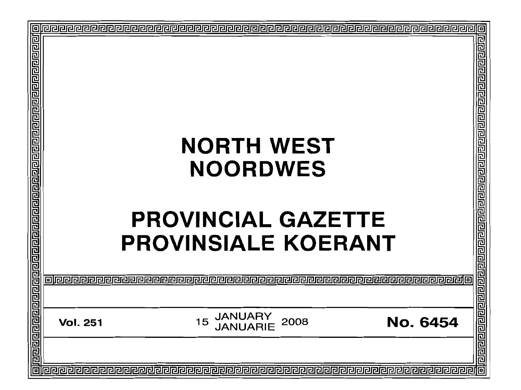| 回                                                                                                             |                                                                                 |                                            |
|---------------------------------------------------------------------------------------------------------------|---------------------------------------------------------------------------------|--------------------------------------------|
| य बाह्य बाह्य बाह्य बाह्य बाह्य बाह्य बाह्य बाह्य बाह्य बाह्य बाह्य बाह्य बाह्य बाह्य बाह्य बाह्य बाह्य बाह्य |                                                                                 | 리민티리 리미니 리민리 리민리 리민리리 리미리 리민리리             |
|                                                                                                               | <b>NORTH WEST</b>                                                               |                                            |
|                                                                                                               |                                                                                 |                                            |
|                                                                                                               | <b>NOORDWES</b>                                                                 |                                            |
|                                                                                                               |                                                                                 |                                            |
|                                                                                                               | <b>PROVINCIAL GAZETTE</b><br><b>PROVINSIALE KOERANT</b>                         | ग्रनसंसद्याद्याद्याद्याद्याद्याद्याद्याद्य |
|                                                                                                               |                                                                                 |                                            |
|                                                                                                               |                                                                                 |                                            |
|                                                                                                               | <b>JANUARY<br/>JANUARIE</b><br><b>No. 6454</b><br>15<br>2008<br><b>Vol. 251</b> |                                            |
|                                                                                                               |                                                                                 |                                            |
| E                                                                                                             |                                                                                 | 问                                          |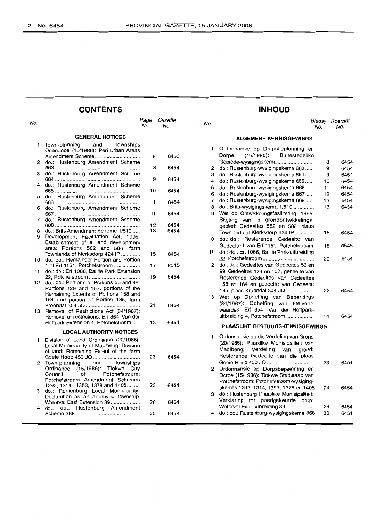| <b>CONTENTS</b> |                                                                                                                            |             |                |              | <b>INHOUD</b>                                                                                           |          |                       |  |
|-----------------|----------------------------------------------------------------------------------------------------------------------------|-------------|----------------|--------------|---------------------------------------------------------------------------------------------------------|----------|-----------------------|--|
| No.             |                                                                                                                            | Page<br>No. | Gazette<br>No. | No.          |                                                                                                         | No.      | Bladsy Koerant<br>No. |  |
|                 | <b>GENERAL NOTICES</b>                                                                                                     |             |                |              | <b>ALGEMENE KENNISGEWINGS</b>                                                                           |          |                       |  |
| 1.              | and<br>Townships<br>Town-planning<br>Ordinance (15/1986): Peri-Urban Areas<br>Amendment Scheme                             | 8           | 6453           | $\mathbf{1}$ | Ordonnansie op Dorpsbeplanning en<br>$(15/1986)$ :<br><b>Buitestedelike</b><br>Dorpe                    |          |                       |  |
|                 | 2 do.: Rustenburg Amendment Scheme                                                                                         |             |                |              |                                                                                                         | 8        | 645                   |  |
| з               | do.: Rustenburg Amendment Scheme                                                                                           | 8           | 6454           | 2<br>з       | do.: Rustenburg-wysigingskema 663<br>do.: Rustenburg-wysigingskema 664                                  | 9<br>9   | 645<br>645            |  |
| 4               | do.: Rustenburg Amendment Scheme                                                                                           | 9           | 6454           | 4            | do.: Rustenburg-wysigingskema 665                                                                       | 10       | 645                   |  |
|                 |                                                                                                                            | 10          | 6454           | 5<br>6       | do.: Rustenburg-wysigingskema 666<br>do.: Rustenburg-wysigingskema 667                                  | 11<br>12 | 645<br>645            |  |
| 5               | do.: Rustenburg Amendment Scheme                                                                                           | 11          | 6454           | 7            | do.: Rustenburg-wysigingskema 668                                                                       | 12       | 645                   |  |
| 6               | do.: Rustenburg Amendment Scheme                                                                                           |             |                | 8            | do.: Brits-wysigingskema 1/519<br>9 Wet op Ontwikkelingsfasilitering, 1995:                             | 13       | 645                   |  |
| 7               | do.: Rustenburg Amendment Scheme                                                                                           | 11<br>12    | 6454<br>6454   |              | Stigting van 'n grondontwikkelings-<br>gebied: Gedeeltes 582 en 586, plaas                              |          |                       |  |
| 8<br>9          | do.: Brits Amendment Scheme 1/519<br>Development Facilitation Act, 1995:                                                   | 13          | 6454           |              | Townlands of Klerksdorp 424 IP<br>10 do.: do.: Resterende Gedeelte van                                  | 16       | 645                   |  |
|                 | Establishment of a land development<br>area: Portions 582 and 586, farm<br>Townlands of Klerksdorp 424 IP                  | 15          | 6454           |              | Gedeelte 1 van Erf 1151, Potchefstroom<br>11 do.: do.: Erf 1066, Baillie Park-uitbreiding               | 18       | 654                   |  |
|                 | 10 do.: do.: Remainder Portion and Portion                                                                                 |             |                |              | 12 do.: do.: Gedeeltes van Gedeeltes 53 en                                                              | 20       | 645                   |  |
| 11              | 1 of Erf 1151, Potchefstroom<br>do.: do.: Erf 1066, Baillie Park Extension                                                 | 17          | 6545           |              | 99, Gedeeltes 129 en 157, gedeelte van                                                                  |          |                       |  |
|                 | 12 do.: do.: Portions of Portions 53 and 99,<br>Portions 129 and 157, portions of the                                      | 19          | 6454           |              | Resterende Gedeeltes van Gedeeltes<br>158 en 164 en gedeelte van Gedeelte<br>185, plaas Kroondal 304 JQ | 22       | 645                   |  |
|                 | Remaining Extents of Portions 158 and<br>164 and portion of Portion 185, farm                                              | 21          | 6454           |              | 13 Wet op Opheffing van Beperkings<br>(84/1967): Opheffing van titelvoor-                               |          |                       |  |
| 13              | Removal of Restrictions Act (84/1967):<br>Removal of restrictions: Erf 354, Van der                                        |             |                |              | waardes: Erf 354, Van der Hoffpark-<br>uitbreiding 4, Potchefstroom                                     | 14       | 645                   |  |
|                 | Hoffpark Extension 4, Potchefstroom                                                                                        | 13          | 6454           |              | <b>PLAASLIKE BESTUURSKENNISGEWINGS</b>                                                                  |          |                       |  |
|                 | <b>LOCAL AUTHORITY NOTICES</b>                                                                                             |             |                | 1.           | Ordonnansie op die Verdeling van Grond                                                                  |          |                       |  |
| 1               | Division of Land Ordinance (20/1986):<br>Local Municipality of Madibeng: Division<br>of land: Remaining Extent of the farm |             |                |              | (20/1986): Plaaslike Munisipaliteit van<br>Madibeng: Verdeling<br>van<br>grond:                         |          |                       |  |
| $\mathbf{2}$    | Town-planning<br>and<br>Townships<br>Ordinance (15/1986): Tlokwe City                                                      | 23          | 6454           |              | Resterende Gedeelte van die plaas<br>2 Ordonnansie op Dorpsbeplanning en                                | 23       | 645                   |  |
|                 | of<br>Potchefstroom:<br>Council<br>Potchefstroom Amendment Schemes                                                         |             |                |              | Dorpe (15/1986): Tlokwe Stadsraad van<br>Potchefstroom: Potchefstroom-wysiging-                         |          |                       |  |
| з               | 1292, 1314, 1353, 1378 and 1405<br>do.: Rustenburg Local Municipality:<br>Declaration as an approved township:             | 23          | 6454           |              | skemas 1292, 1314, 1353, 1378 en 1405<br>3 do.: Rustenburg Plaaslike Munisipaliteit:                    | 24       | 645                   |  |
|                 | Waterval East Extension 39                                                                                                 | 26          | 6454           |              | Verklaring tot goedgekeurde dorp:                                                                       |          |                       |  |
| 4               | do.: do.: Rustenburg Amendment                                                                                             | 30          | 6454           |              | Waterval East-uitbreiding 39<br>4 do.: do.: Rustenburg-wysigingskema 368                                | 28<br>30 | 645<br>645            |  |
|                 |                                                                                                                            |             |                |              |                                                                                                         |          |                       |  |

# **INHOUD**

# **ALGEMENE KENNISGEWINGS**

| 1  | Ordonnansie op Dorpsbeplanning en            |    |      |
|----|----------------------------------------------|----|------|
|    | (15/1986): Buitestedelike<br>Dorpe           |    |      |
|    | Gebiede-wysigingskema                        | 8  | 6454 |
| 2  | do.: Rustenburg-wysigingskema 663            | 9  | 6454 |
| 3  | do.: Rustenburg-wysigingskema 664            | 9  | 6454 |
| 4  | do.: Rustenburg-wysigingskema 665            | 10 | 6454 |
| 5  | do.: Rustenburg-wysigingskema 666            | 11 | 6454 |
| 6  | do.: Rustenburg-wysigingskema 667            | 12 | 6454 |
| 7  | do.: Rustenburg-wysigingskema 668            | 12 | 6454 |
| 8  | do.: Brits-wysigingskema 1/519               | 13 | 6454 |
| 9  | Wet op Ontwikkelingsfasilitering, 1995:      |    |      |
|    | Stigting van 'n grondontwikkelings-          |    |      |
|    | gebied: Gedeeltes 582 en 586, plaas          |    |      |
|    | Townlands of Klerksdorp 424 IP               | 16 | 6454 |
| 10 | do.: do.:<br>Resterende Gedeelte van         |    |      |
|    | Gedeelte 1 van Erf 1151, Potchefstroom       | 18 | 6545 |
| 11 | do.: do.: Erf 1066, Baillie Park-uitbreiding |    |      |
|    |                                              | 20 | 6454 |
| 12 | do.: do.: Gedeeltes van Gedeeltes 53 en      |    |      |
|    | 99, Gedeeltes 129 en 157, gedeelte van       |    |      |
|    | Resterende Gedeeltes van Gedeeltes           |    |      |
|    | 158 en 164 en gedeelte van Gedeelte          |    |      |
|    | 185, plaas Kroondal 304 JQ                   | 22 | 6454 |
| 13 | Wet op Opheffing van Beperkings              |    |      |
|    | (84/1967): Opheffing van titelvoor-          |    |      |
|    | waardes: Erf 354, Van der Hoffpark-          |    |      |
|    | uitbreiding 4, Potchefstroom                 | 14 | 6454 |
|    | <b>PLAASLIKE BESTUURSKENNISGEWINGS</b>       |    |      |
| 1  | Ordonnansie op die Verdeling van Grond       |    |      |
|    | (20/1986): Plaaslike Munisipaliteit van      |    |      |
|    | Verdeling<br>Madibeng:<br>van<br>grond:      |    |      |
|    | Resterende Gedeelte van die plaas            |    |      |
|    | Goeie Hoop 450 JQ                            | 23 | 6454 |
| 2  | Ordonnansie op Dorpsbeplanning en            |    |      |
|    | Dorpe (15/1986): Tlokwe Stadsraad van        |    |      |
|    | Potchefstroom: Potchefstroom-wysiging-       |    |      |
|    | skemas 1292, 1314, 1353, 1378 en 1405        | 24 | 6454 |
| з  | do.: Rustenburg Plaaslike Munisipaliteit:    |    |      |
|    | Verklaring tot goedgekeurde dorp:            |    |      |
|    | Waterval East-uitbreiding 39                 | 28 | 6454 |
| 4  | do.: do.: Rustenburg-wysigingskema 368       | 30 | 6454 |
|    |                                              |    |      |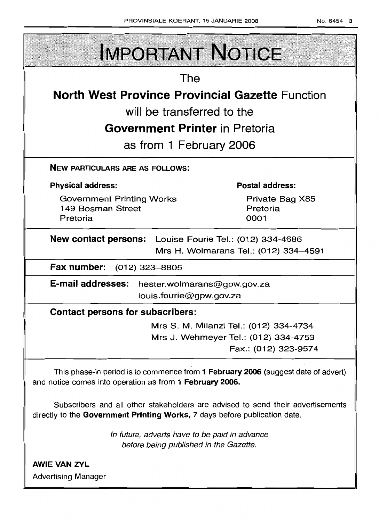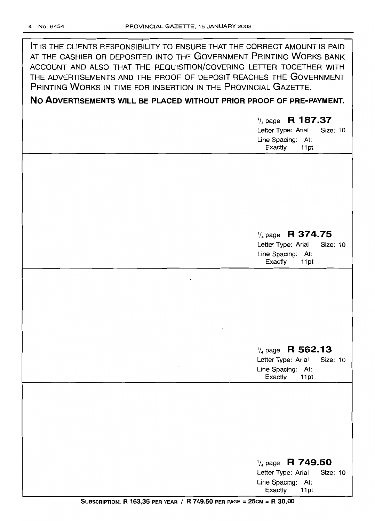. **IT** IS THE CLIENTS RESPONSIBILITY TO ENSURE THAT THE CORRECT AMOUNT IS PAID AT THE CASHIER OR DEPOSITED INTO THE GOVERNMENT PRINTING WORKS BANK ACCOUNT AND ALSO THAT THE REQUISITION/COVERING LETTER TOGETHER WITH THE ADVERTISEMENTS AND THE PROOF OF DEPOSIT REACHES THE GOVERNMENT PRINTING WORKS IN TIME FOR INSERTION IN THE PROVINCIAL GAZETTE.

# **No ADVERTISEMENTS WILL BE PLACED WITHOUT PRIOR PROOF OF PRE-PAYMENT.**

1/4 page **R 187.37** Letter Type: Arial Size: 10 Line Spacing: At: Exactly 11pt

# 1/4page **R 374.75**

Letter Type: Arial Size: 10 Line Spacing: At: Exactly 11pt

# 1/4page **R 562.13**

Letter Type: Arial Size: 10 Line Spacing: At:<br>Exactly 11pt **Exactly** 

# 1/4page **R 749.50** Letter Type: Arial Size: 10 Line Spacing: At: Exactly 11 pt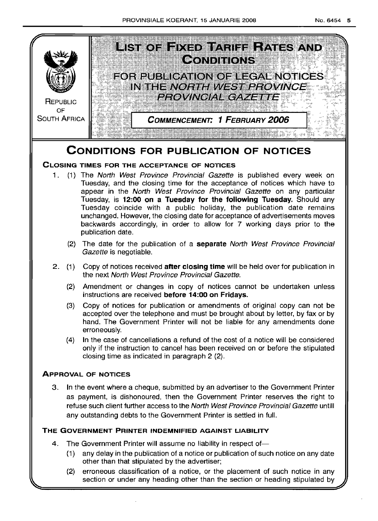

(2) erroneous classification of a notice, or the placement of such notice in any section or under any heading other than the section or heading stipulated by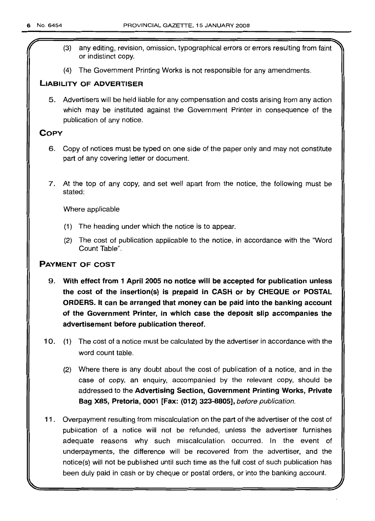- (3) any editing, revision, omission, typographical errors or errors resulting from faint or indistinct copy.
- (4) The Government Printing Works is not responsible for any amendments.

# LIABILITY OF ADVERTISER

5. Advertisers will be held liable for any compensation and costs arising from any action which may be instituted against the Government Printer in consequence of the publication of any notice.

# **COPY**

- 6. Copy of notices must be typed on one side of the paper only and may not constitute part of any covering letter or document.
- 7. At the top of any copy, and set well apart from the notice, the following must be stated:

Where applicable

- (1) The heading under which the notice is to appear.
- (2) The cost of publication applicable to the notice, in accordance with the "Word Count Table",

# PAYMENT OF COST

- 9. With effect from 1 April 2005 no notice will be accepted for publication unless the cost of the insertion(s) is prepaid in CASH or by CHEQUE or POSTAL ORDERS. It can be arranged that money can be paid into the banking account of the Government Printer, in which case the deposit slip accompanies the advertisement before publication thereof.
- 10. (1) The cost of a notice must be calculated by the advertiser in accordance with the word count table.
	- (2) Where there is any doubt about the cost of publication of a notice, and in the case of copy, an enquiry, accompanied by the relevant copy, should be addressed to the Advertising Section, Government Printing Works, Private Bag X85, Pretoria, 0001 [Fax: (012) 323-8805], before publication.
- 11 . Overpayment resulting from miscalculation on the part of the advertiser of the cost of publication of a notice will not be refunded, unless the advertiser furnishes adequate reasons why such miscalculation occurred. In the event of underpayments, the difference will be recovered from the advertiser, and the notice(s) will not be published until such time as the full cost of such publication has been duly paid in cash or by cheque or postal orders, or into the banking account.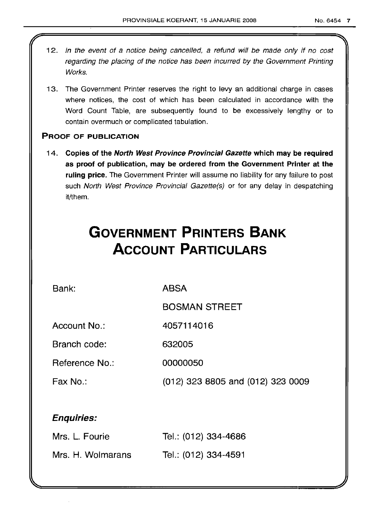- 12. In the event of a notice being cancelled, a refund will be made only if no cost regarding the placing of the notice has been incurred by the Government Printing Works.
- 13. The Government Printer reserves the right to levy an additional charge in cases where notices, the cost of which has been calculated in accordance with the Word Count Table, are subsequently found to be excessively lengthy or to contain overmuch or complicated tabulation.

# PROOF OF PUBLICATION

14. Copies of the North West Province Provincial Gazette which may be required as proof of publication, may be ordered from the Government Printer at the ruling price. The Government Printer will assume no liability for any failure to post such North West Province Provincial Gazette(s) or for any delay in despatching it/them.

# **GOVERNMENT PRINTERS BANK ACCOUNT PARTICULARS**

Bank:

ABSA

BOSMAN STREET

Account No.: 4057114016

Branch code: 632005

Reference No.: 00000050

Fax No.: (012) 323 8805 and (012) 323 0009

# Enquiries:

| Mrs. L. Fourie    | Tel.: (012) 334-4686 |
|-------------------|----------------------|
| Mrs. H. Wolmarans | Tel.: (012) 334-4591 |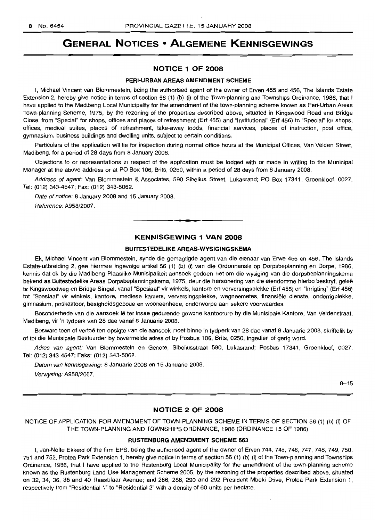# **GENERAL NOTICES • ALGEMENE KENNISGEWINGS**

# **NOTICE 1 OF 2008**

#### **PERI-URBAN AREAS AMENDMENT SCHEME**

I, Michael Vincent van Blommestein, being the authorised agent of the owner of Erven 455 and 456, The Islands Estate Extension 2, hereby give notice in terms of section 56 (1) (b) (i) of the Town-planning and Townships Ordinance, 1986, that I have applied to the Madibeng Local Municipality for the amendment of the town-planning scheme known as Peri-Urban Areas Town-planning Scheme, 1975, by the rezoning of the properties described above, situated in Kingswood Road and Bridge Close, from "Special" for shops, offices and places of refreshment (Erf 455) and "Institutional" (Erf 456) to "Special" for shops, offices, medical suites, places of refreshment, take-away foods, financial services, places of instruction, post office, gymnasium, business buildings and dwelling units, subject to certain conditions.

Particulars of the application will lie for inspection during normal office hours at the Municipal Offices, Van Velden Street, Madibeng, for a period of 28 days from 8 January 2008.

Objections to or representations in respect of the application must be lodged with or made in writing to the Municipal Manager at the above address or at PO Box 106, Brits, 0250, within a period of 28 days from 8 January 2008.

Address of agent: Van Blommestein & Associates, 590 Sibelius Street, Lukasrand; PO Box 17341, Groenkloof, 0027. Tel: (012) 343-4547; Fax: (012) 343-5062.

Date of notice: 8 January 2008 and 15 January 2008. Reference: A958/2007.

# **KENNISGEWING 1 VAN 2008**

**-**

#### **BUITESTEDELIKE AREAS·WYSIGINGSKEMA**

Ek, Michael Vincent van Blommestein, synde die gemagtigde agent van die eienaar van Erwe 455 en 456, The Islands Estate-uitbreiding 2, gee hiermee ingevolge artikel 56 (1) (b) (i) van die Ordonnansie op Dorpsbeplanning en Dorpe, 1986, kennis dat ek by die Madibeng Plaaslike Munisipaliteit aansoek gedoen het om die wysiging van die dorpsbeplanningskema bekend as Buitestedelike Areas Dorpsbeplanningskema, 1975, deur die hersonering van die eiendomme hierbo beskryf, gelee te Kingswoodweg en Bridge Singel, vanaf "Spesiaal" vir winkels, kantore en verversingsplekke (Erf 455) en "Inrigting" (Erf 456) tot "Spesiaal" vir winkels, kantore, mediese kamers, verversingsplekke, wegneemetes, finansiele dienste, onderrigplekke, gimnasium, poskantoor, besigheidsgeboue en wooneenhede, onderworpe aan sekere voorwaardes.

Besonderhede van die aansoek lê ter insae gedurende gewone kantoorure by die Munisipale Kantore, Van Veldenstraat, Madibeng, vir 'n tydperk van 28 dae vanaf 8 Januarie 2008.

Besware teen of vertoe ten opsigte van die aansoek moet binne 'n tydperk van 28 dae vanaf 8 Januarie 2008, skriftelik by of tot die Munisipale Bestuurder by bovermelde adres of by Posbus 106, Brits, 0250, ingedien of gerig word.

Adres van agent: Van Blommestein en Genote, Sibeliusstraat 590, Lukasrand; Posbus 17341, Groenkloof, 0027. Tel: (012) 343-4547; Faks: (012) 343-5062.

Datum van kennisgewing: 8 Januarie 2008 en 15 Januarie 2008. Verwysing: A958/2007.

 $8 - 15$ 

## **NOTICE 2 OF 2008**

NOTICE OF APPLICATION FOR AMENDMENT OF TOWN-PLANNING SCHEME IN TERMS OF SECTION 56 (1) (b) (i) OF **THE** TOWN-PLANNING AND TOWNSHIPS ORDNANCE, 1986 (ORDINANCE 15 OF 1986)

## **RUSTENBURG AMENDMENT SCHEME 663**

I, Jan-Nolte Ekkerd of the firm EPS, being the authorised agent of the owner of Erven 744, 745, 746, 747, 748, 749, 750, 751 and 752, Protea Park Extension 1, hereby give notice in terms of section 56 (1) (b) (i) of the Town-planning and Townships Ordinance, 1986, that I have applied to the Rustenburg Local Municipality for the amendment of the town-planning scheme known as the Rustenburg Land Use Management Scheme 2005, by the rezoning of the properties described above, situated on 32, 34, 36, 38 and 40 Raasblaar Avenue; and 286, 288, 290 and 292 President Mbeki Drive, Protea Park Extension 1, respectively from "Residential 1" to "Residential 2" with a density of 60 units per hectare.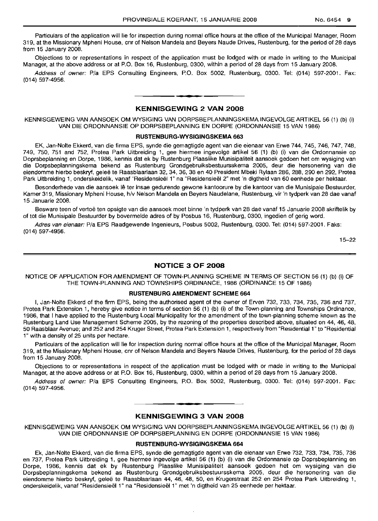Particulars of the application will lie for inspection during normal office hours at the office of the Municipal Manager, Room 319, at the Missionary Mpheni House, cnr of Nelson Mandela and Beyers Naude Drives, Rustenburg, for the period of 28 days from 15 January 2008.

Objections to or representations in respect of the application must be lodged with or made in writing to the Municipal Manager, at the above address or at P.O. Box 16, Rustenburg, 0300, within a period of 28 days from 15 January 2008.

Address of owner: P/a EPS Consulting Engineers, P.O. Box 5002, Rustenburg, 0300, Tel: (014) 597-2001, Fax: (014) 597-4956.

## **- KENNISGEWING <sup>2</sup> VAN <sup>2008</sup>**

KENNISGEWEING VAN AANSOEK OM WYSIGING VAN DORPSBEPLANNINGSKEMA INGEVOLGE ARTIKEL 56 (1) (b) (i) VAN DIE ORDONNANSIE OP DORPSBEPLANNING EN DORPE (ORDONNANSIE 15 VAN 1986)

#### **RUSTENBURG·WYSIGINGSKEMA 663**

EK, Jan-Nolte Ekkerd, van die firma EPS, synde die gemagtigde agent van die eienaar van Erwe 744,745,746,747,748, 749, 750, 751 and 752, Protea Park Uitbreiding 1, gee hiermee ingevolge artikel 56 (1) (b) (i) van die Ordonnansie op Doprsbeplanning en Dorpe, 1986, kennis dat ek by Rustenburg Plaaslike Munisipaliteit aansoek gedoen het om wysiging van die Dorpsbeplanningskema bekend as Rustenburg Grondgebruiksbestuursskema 2005, deur die hersonering van die eiendomme hierbo beskryf, gelee te Raasblaarlaan 32, 34, 36, 38 en 40 President Mbeki Rylaan 286, 288, 290 en 292, Protea Park Uitbreiding 1, onderskeidelik, vanaf "Residensieël 1" na "Residensieël 2" met 'n digtheid van 60 eenhede per hektaar.

Besonderhede van die aansoek lê ter insae gedurende gewone kantoorure by die kantoor van die Munisipale Bestuurder, Kamer 319, Missionary Mpheni House, h/v Nelson Mandela en Beyers Naudelane, Rustenburg, vir 'n tydperk van 28 dae vanaf 15 Januarie 2008.

Besware teen of vertoe ten opsigte van die aansoek moet binne 'n tydperk van 28 dae vanaf 15 Januarie 2008 skriftelik by of tot die Munisipale Bestuurder by bovermelde adres of by Posbus 16, Rustenburg, 0300, ingedien of gerig word.

Adres van eienaar: P/a EPS Raadgewende Ingenieurs, Posbus 5002, Rustenburg, 0300, Tel: (014) 597-2001, Faks: (014) 597-4956.

15-22

#### **NOTICE 3 OF 2008**

NOTICE OF APPLICATION FOR AMENDMENT OF TOWN-PLANNING SCHEME IN TERMS OF SECTION 56 (1) (b) (i) OF THE TOWN-PLANNING AND TOWNSHIPS ORDINANCE, 1986 (ORDINANCE 15 OF 1986)

#### **RUSTENBURG AMENDMENT SCHEME 664**

I, Jan-Nolte Ekkerd of the firm EPS, being the authorised agent of the owner of Erven 732, 733, 734, 735, 736 and 737, Protea Park Extension 1, hereby give notice in terms of section 56 (1) (b) (i) of the Town-planning and Townships Ordinance, 1986, that I have applied to the Rustenburg Local Municipality for the amendment of the town-planning scheme known as the Rustenburg Land Use Management Scheme 2005, by the rezoning of the properties described above, situated on 44, 46, 48, 50 Raasblaar Avenue; and 252 and 254 Kruger Street, Protea Park Extension 1, respectively from "Residential 1" to "Residential 1" with a density of 25 units per hectare.

Particulars of the application will lie for inspection during normal office hours at the office of the Municipal Manager, Room 319, at the Missionary Mpheni House, cnr of Nelson Mandela and Beyers Naude Drives, Rustenburg, for the period of 28 days from 15 January 2008.

Objections to or representations in respect of the application must be lodged with or made in writing to the Municipal Manager, at the above address or at P.O. Box 16, Rustenburg, 0300, within a period of 28 days from 15 January 2008.

Address of owner: P/a EPS Consulting Engineers, P.O. Box 5002, Rustenburg, 0300. Tel: (014) 597-2001. Fax: (014) 597-4956.

# • **- I KENNISGEWING 3 VAN 2008**

KENNISGEWEING VAN AANSOEK OM WYSIGING VAN DORPSBEPLANNINGSKEMA INGEVOLGE ARTIKEL 56 (1) (b) (i) VAN DIE ORDONNANSIE OP DORPSBEPLANNING EN DORPE (ORDONNANSIE 15 VAN 1986)

#### **RUSTENBURG-WYSIGINGSKEMA 664**

Ek, Jan-Nolte Ekkerd, van die firma EPS, synde die gemagtigde agent van die eienaar van Erwe 732, 733, 734, 735, 736 en 737, Protea Park Uitbreiding 1, gee hiermee ingevolge artikel 56 (1) (b) (i) van die Ordonnansie op Doprsbeplanning en Dorpe, 1986, kennis dat ek by Rustenburg Plaaslike Munisipaliteit aansoek gedoen het om wysiging van die Dorpsbeplanningskema bekend as Rustenburg Grondgebruiksbestuursskema 2005, deur die hersonering van die eiendomme hierbo beskryf, qelee te Raasblaarlaan 44, 46, 48, 50, en Krugerstraat 252 en 254 Protea Park Uitbreiding 1, onderskeidelik, vanaf "Residensieel 1" na "Residensieel 1" met 'n digtheid van 25 eenhede per hektaar.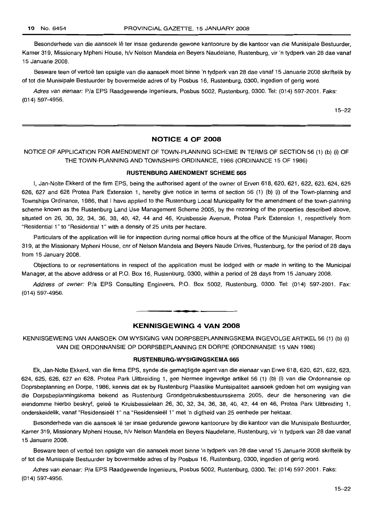Besonderhede van die aansoek Ie ter insae gedurende gewone kantoorure by die kantoor van die Munisipale Bestuurder, Kamer 319, Missionary Mpheni House, h/v Nelson Mandela en Beyers Naudelane, Rustenburg, vir 'n tydperk van 28 dae vanaf 15 Januarie 2008.

Besware teen of vertoe ten opsigte van die aansoek moet binne 'n tydperk van 28 dae vanaf 15 Januarie 2008 skriftelik by of tot die Munisipale Bestuurder by bovermelde adres of by Posbus 16, Rustenburg, 0300, ingedien of gerig word.

Adres van eienaar: P/a EPS Raadgewende Ingenieurs, Posbus 5002, Rustenburg, 0300. Tel: (014) 597-2001. Faks: (014) 597-4956.

15-22

## **NOTICE 4 OF 2008**

# NOTICE OF APPLICATION FOR AMENDMENT OF TOWN-PLANNING SCHEME IN TERMS OF SECTION 56 (1) (b) (i) OF THE TOWN-PLANNING AND TOWNSHIPS ORDINANCE, 1986 (ORDINANCE 15 OF 1986)

#### **RUSTENBURG AMENDMENT SCHEME 665**

I, Jan-Nolte Ekkerd of the firm EPS, being the authorised agent of the owner of Erven 618, 620, 621, 622, 623, 624, 625 626, 627 and 628 Protea Park Extension 1, hereby give notice in terms of section 56 (1) (b) (i) of the Town-planning and Townships Ordinance, 1986, that I have applied to the Rustenburg Local Municipality for the amendment of the town-planning scheme known as the Rustenburg Land Use Management Scheme 2005, by the rezoning of the properties described above, situated on 26, 30, 32, 34, 36, 38, 40, 42, 44 and 46, Kruisbessie Avenue, Protea Park Extension 1, respectively from "Residential 1" to "Residential 1" with a density of 25 units per hectare.

Particulars of the application will lie for inspection during normal office hours at the office of the Municipal Manager, Room 319, at the Missionary Mpheni House, cnr of Nelson Mandela and Beyers Naude Drives, Rustenburg, for the period of 28 days from 15 January 2008.

Objections to or representations in respect of the application must be lodged with or made in writing to the Municipal Manager, at the above address or at P.O. Box 16, Rustenburg, 0300, within a period of 28 days from 15 January 2008.

Address of owner: P/a EPS Consulting Engineers, P.O. Box 5002, Rustenburg, 0300. Tel: (014) 597-2001. Fax: (014) 597-4956.

## **KENNISGEWING 4 VAN 2008**

**• •**

KENNISGEWEING VAN AANSOEK OM WYSIGING VAN DORPSBEPLANNINGSKEMA INGEVOLGE ARTIKEL 56 (1) (b) (i) VAN DIE ORDONNANSIE OP DORPSBEPLANNING EN DORPE (ORDONNANSIE 15 VAN 1986)

#### **RUSTENBURG-WYSIGINGSKEMA 665**

Ek, Jan-Nolte Ekkerd, van die firma EPS, synde die gemagtigde agent van die eienaar van Erwe 618, 620, 621, 622, 623, 624, 625, 626, 627 en 628, Protea Park Uitbreiding 1, gee hiermee ingevolge artikel 56 (1) (b) (i) van die Ordonnansie op Doprsbeplanning en Dorpe, 1986, kennis dat ek by Rustenburg Plaaslike Munisipaliteit aansoek gedoen het om wysiging van die Dorpsbeplanningskema bekend as Rustenburg Grondgebruiksbestuursskema 2005, deur die hersonering van die eiendomme hierbo beskryf, geleë te Kruisbessielaan 26, 30, 32, 34, 36, 38, 40, 42, 44 en 46, Protea Park Uitbreiding 1, onderskeidelik, vanaf "Hesidensieel 1" na "Residensieel 1" met 'n digtheid van 25 eenhede per hektaar.

Besonderhede van die aansoek lê ter insae gedurende gewone kantoorure by die kantoor van die Munisipale Bestuurder, Kamer 319, Missionary Mpheni House, h/v Nelson Mandela en Beyers Naudelane, Rustenburg, vir 'n tydperk van 28 dae vanaf 15 Januarie 2008.

Besware teen of vertoe ten opsigte van die aansoek moet binne 'n tydperk van 28 dae vanaf 15 Januarie 2008 skriftelik by of tot die Munisipale Bestuurder by bovermelde adres of by Posbus 16, Rustenburg, 0300, ingedien of gerig word.

Adres van eienaar: P/a EPS Raadgewende Ingenieurs, Posbus 5002, Rustenburg, 0300. Tel: (014) 597-2001. Faks: (014) 597-4956.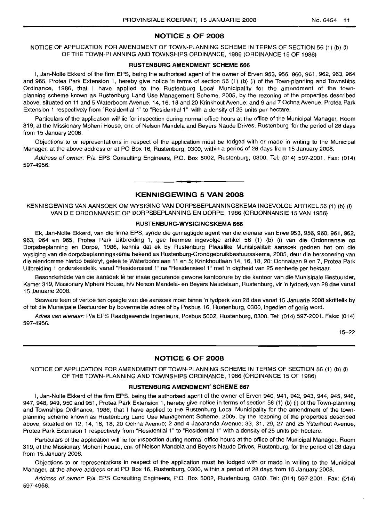## **NOTICE 5 OF 2008**

## NOTICE OF APPLICATION FOR AMENDMENT OF TOWN-PLANNING SCHEME IN TERMS OF SECTION 56 (1) (b) (i) OF THE TOWN-PLANNING AND TOWNSHIPS ORDINANCE, 1986 (ORDINANCE 15 OF 1986)

#### **RUSTENBURG AMENDMENT SCHEME 666**

I, Jan-Nolte Ekkerd of the firm EPS, being the authorised agent of the owner of Erven 953, 956, 960, 961, 962, 963, 964 and 965, Protea Park Extension 1, hereby give notice in terms of section 56 (1) (b) (i) of the Town-planning and Townships Ordinance, 1986, that I have applied to the Rustenburg Local Municipality for the amendment of the townplanning scheme known as Rustenburg Land Use Management Scheme, 2005, by the rezoning of the properties described above, situated on 11 and 5 Waterboom Avenue, 14, 16, 18 and 20 Krinkhout Avenue; and 9 and 7 Ochna Avenue, Protea Park Extension 1 respectively from "Residential 1" to "Residential 1" with a density of 25 units per hectare.

Particulars of the application will lie for inspection during normal office hours at the office of the Municipal Manager, Room 319, at the Missionary Mpheni House, cnr, of Nelson Mandela and Beyers Naude Drives, Rustenburg, for the period of 28 days from 15 January 2008.

Objections to or representations in respect of the application must be lodged with or made in writing to the Municipal Manager, at the above address or at PO Box 16, Rustenburg, 0300, within a period of 28 days from 15 January 2008.

Address of owner: Pia EPS Consulting Engineers, P.O. Box 5002, Rustenburg, 0300. Tel: (014) 597-2001. Fax: (014) 597-4956.

## **KENNISGEWING 5 VAN 2008**

**•**

KENNISGEWING VAN AANSOEK OM WYSIGING VAN DORPSBEPLANNINGSKEMA INGEVOLGE ARTIKEL 56 (1) (b) (i) VAN DIE ORDONNANSIE OP DORPSBEPLANNING EN DORPE, 1986 (ORDONNANSIE 15 VAN 1986)

#### **RUSTENBURG-WYSIGINGSKEMA 666**

Ek, Jan-Nolte Ekkerd, van die firma EPS, synde die gemagtigde agent van die eienaar van Erwe 953, 956, 960, 961, 962, 963, 964 en 965, Protea Park Uitbreiding 1, gee hiermee ingevolge artikel 56 (1) (b) (i) van die Ordonnansie op Dorpsbeplanning en Dorpe, 1986, kennis dat ek by Rustenburg Plaaslike Munisipaliteit aansoek gedoen het om die wysiging van die dorpsbeplanningskema bekend as Rustenburg-Grondgebruikbestuursskema, 2005, deur die hersonering van die eiendomme hierbo beskryf, gelee te Waterboomlaan 11 en 5; Krinkhoutlaan 14, 16, 18, 20; Ochnalaan 9 en 7, Protea Park Uitbreiding 1 onderskeidelik, vanaf "Residensieel 1" na "Residensieel 1" met 'n digtheid van 25 eenhede per hektaar.

Besonderhede van die aansoek lê ter insae gedurende gewone kantoorure by die kantoor van die Munisipale Bestuurder, Kamer 319, Missionary Mpheni House, h/v Nelson Mandela- en Beyers Naudelaan, Rustenburg, vir 'n tydperk van 28 dae vanaf 15 Januarie 2008.

Besware teen of vertoë ten opsigte van die aansoek moet binne 'n tydperk van 28 dae vanaf 15 Januarie 2008 skriftelik by of tot die Munisipale Bestuurder by bovermelde adres of by Posbus 16, Rustenburg, 0300, ingedien of gerig word.

Adres van eienaar: Pia EPS Raadgewende Ingenieurs, Posbus 5002, Rustenburg, 0300. Tel: (014) 597-2001. Faks: (014) 597-4956.

15-22

## **NOTICE 6 OF 2008**

NOTICE OF APPLICATION FOR AMENDMENT OF TOWN-PLANNING SCHEME IN TERMS OF SECTION 56 (1) (b) (i) OF THE TOWN-PLANNING AND TOWNSHIPS ORDINANCE, 1986 (ORDINANCE 15 OF 1986)

#### **RUSTENBURG AMENDMENT SCHEME 667**

I, Jan-Nolte Ekkerd of the firm EPS, being the authorised agent of the owner of Erven 940, 941, 942, 943, 944, 945, 946, 947, 948, 949, 950 and 951, Protea Park Extension 1, hereby give notice in terms of section 56 (1) (b) (i) of the Town-planning and Townships Ordinance, 1986, that I have applied to the Rustenburg Local Municipality for the amendment of the townplanning scheme known as Rustenburg Land Use Management Scheme, 2005, by the rezoning of the properties described above, situated on 12, 14, 16, 18, 20 Ochna Avenue; 2 and 4 Jacaranda Avenue; 33, 31, 29, 27 and 25 Ysterhout Avenue, Protea Park Extension 1 respectively from "Residential 1" to "Residential 1" with a density of 25 units per hectare.

Particulars of the application will lie for inspection during normal office hours at the office of the Municipal Manager, Room 319, at the Missionary Mpheni House, cnr, of Nelson Mandela and Beyers Naude Drives, Rustenburg, for the period of 28 days from 15, January 2008.

Objections to or representations in respect of the application must be lodged with or made in writing to the Municipal Manager, at the above address or at PO Box 16, Rustenburg, 0300, within a period of 28 days from 15 January 2008.

Address of owner: Pia EPS Consulting Engineers, P.O. Box 5002, Rustenburg, 0300. Tel: (014) 597-2001. Fax: (014) 597-4956.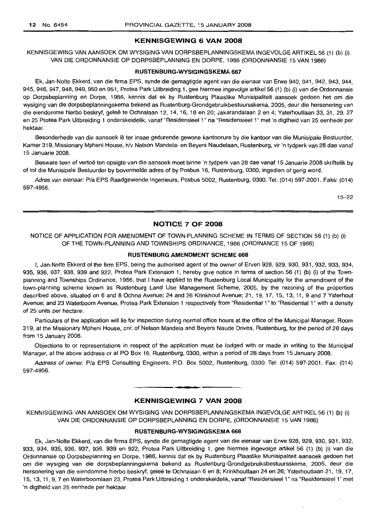## **KENNISGEWING 6 VAN 2008**

KENNISGEWING VAN AANSOEK OM WYSIGING VAN DORPSBEPLANNINGSKEMA INGEVOLGE ARTIKEL 56 (1) (b) (i) VAN DIE ORDONNANSIE OP DORPSBEPLANNING EN DORPE, 1986 (ORDONNANSIE 15 VAN 1986)

#### **RUSTENBURG·WYSIGINGSKEMA 667**

Ek, Jan-Nolte Ekkerd, van die firma EPS, synde die gemagtigde agent van die eienaar van Erwe 940, 941, 942, 943, 944, 945, 946, 947, 948, 949, 950 en 951, Protea Park Uitbreiding 1, gee hiermee ingevolge artikel56 (1) (b) (i) van die Ordonnansie op Dorpsbeplanning en Dorpe, 1986, kennis dat ek by Rustenburg Plaaslike Munisipaliteit aansoek gedoen het om die wysiging van die dorpsbeplanningskema bekend as Rustenburg-Grondgebruikbestuursskema, 2005, deur die hersonering van die eiendomme hierbo beskryf, qelee te Ochnalaan 12, 14, 16, 18 en 20; Jakarandalaan 2 en 4; Ysterhoutlaan 33, 31, 29, 27 en 25 Protea Park Uitbreiding 1 onderskeidelik, vanaf "Residensieel 1" na "Residensieel 1" met 'n digtheid van 25 eenhede per hektaar.

Besonderhede van die aansoek lê ter insae gedurende gewone kantoorure by die kantoor van die Munisipale Bestuurder, Kamer 319, Missionary Mpheni House, h/v Nelson Mandela- en Beyers Naudelaan, Rustenburg, vir 'n tydperk van 28 dae vanaf 15 Januarie 2008.

Besware teen of vertoe ten opsigte van die aansoek moet binne 'n tydperk van 28 dae vanaf 15 Januarie 2008 skriftelik by of tot die Munisipale Bestuurder by bovermelde adres of by Posbus 16, Rustenburg, 0300, ingedien of gerig word.

Adres van eienaar: Pia EPS Raadgewende Ingenieurs, Posbus 5002, Rustenburg, 0300. Tel: (014) 597-2001. Faks: (014) 597-4956.

15-22

## **NOTICE 7 OF 2008**

## NOTICE OF APPLICATION FOR AMENDMENT OF TOWN-PLANNING SCHEME IN TERMS OF SECTION 56 (1) (b) (i) OF THE TOWN-PLANNING AND TOWNSHIPS ORDINANCE, 1986 (ORDINANCE 15 OF 1986)

## **RUSTENBURG AMENDMENT SCHEME 668**

I, Jan-Nolte Ekkerd of the firm EPS, being the authorised agent of the owner of Erven 928, 929, 930, 931, 932, 933, 934, 935, 936, 937, 938, 939 and 922, Protea Park Extension 1, hereby give notice in terms of section 56 (1) (b) (i) of the Townplanning and Townships Ordinance, 1986, that I have applied to the Rustenburg Local Municipality for the amendment of the town-planning scheme known as Rustenburg Land Use Management Scheme, 2005, by the rezoning of the properties described above, situated on 6 and 8 Ochna Avenue; 24 and 26 Krinkhout Avenue; 21, 19, 17, 15, 13, 11, 9 and 7 Ysterhout Avenue; and 23 Waterboom Avenue, Protea Park Extension 1 respectively from "Residential 1" to "Residential 1" with a density of 25 units per hectare.

Particulars of the application will lie for inspection during normal office hours at the office of the Municipal Manager, Room 319, at the Missionary Mpheni House, cnr, of Nelson Mandela and Beyers Naude Drives, Rustenburg, for the period of 28 days from 15 January 2008.

Objections to or representations in respect of the application must be lodged with or made in writing to the Municipal Manager, at the above address or at PO Box 16, Rustenburg, 0300, within a period of 28 days from 15 January 2008.

Address of owner: Pia EPS Consulting Engineers, P.O. Box 5002, Rustenburg, 0300. Tel: (014) 597-2001. Fax: (014) 597-4956.

# **• KENNISGEWING 7 VAN 2008**

KENNISGEWING VAN AANSOEK OM WYSIGING VAN DORPSBEPLANNINGSKEMA INGEVOLGE ARTIKEL 56 (1) (b) (i) VAN DIE ORDONNANSIE OP DORPSBEPLANNING EN DORPE, (ORDONNANSIE 15 VAN 1986)

## **RUSTENBURG-WYSIGINGSKEMA 668**

Ek, Jan-Nolte Ekkerd, van die firma EPS, synde die gemagtigde agent van die eienaar van Erwe 928, 929, 930, 931, 932, 933, 934, 935, 936, 937, 938, 939 en 922, Protea Park Uitbreiding 1, gee hiermee ingevolge artikel 56 (1) (b) (i) van die Ordonnansie op Dorpsbeplanning en Dorpe, 1986, kennis dat ek by Rustenburg Plaaslike Munisipaliteit aansoek gedoen het om die wysiging van die dorpsbeplanningskema bekend as Rustenburg-Grondgebruiksbestuursskema, 2005, deur die hersonering van die eiendomme hierbo beskryf, gelee te Ochnalaan 6 en 8; Krinkhoutlaan 24 en 26; Ysterhoutlaan 21, 19, 17, 15, 13, 11, 9, 7 en Waterboomlaan 23, Protea Park Uitbreiding 1 onderskeidelik, vanaf "ResidensieeI1" na "Residensieel 1" met 'n digtheid van 25 eenhede per hektaar.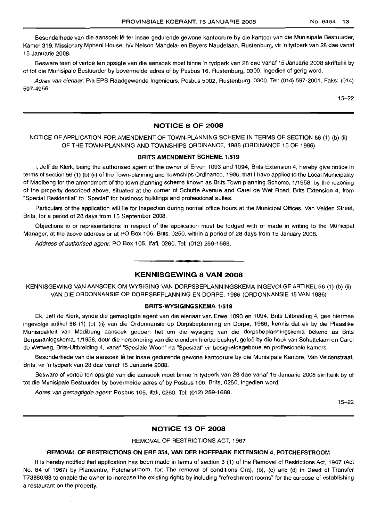Besonderhede van die aansoek lê ter insae gedurende gewone kantoorure by die kantoor van die Munisipale Bestuurder, Kamer 319, Missionary Mpheni House, h/v Nelson Mandela- en Beyers Naudelaan, Rustenburg, vir 'n tydperk van 28 dae vanaf 15 Januarie 2008.

Besware teen of vertoe ten opsigte van die aansoek moet binne 'n tydperk van 28 dae vanaf 15 Januarie 2008 skriftelik by of tot die Munisipale Bestuurder by bovermelde adres of by Posbus 16, Rustenburg, 0300, ingedien of gerig word.

Adres van eienaar: Pia EPS Raadgewende Ingenieurs, Posbus 5002, Rustenburg, 0300. Tel: (014) 597-2001. Faks: (014) 597-4956.

15-22

## **NOTICE 8 OF 2008**

# NOTICE OF APPLICATION FOR AMENDMENT OF TOWN-PLANNING SCHEME IN TERMS OF SECTION 56 (1) (b) (ii) OF THE TOWN-PLANNING AND TOWNSHIPS ORDINANCE, 1986 (ORDINANCE 15 OF 1986)

## **BRITS AMENDMENT SCHEME** 1/519

I, Jeff de Klerk, being the authorised agent of the owner of Erven 1093 and 1094, Brits Extension 4, hereby give notice in terms of section 56 (1) (b) (ii) of the Town-planning and Townships Ordinance, 1986, that I have applied to the Local Municipality of Madibeng for the amendment of the town-planning scheme known as Brits Town-planning Scheme, 1/1958, by the rezoning of the property described above, situated at the corner of Schutte Avenue and Carel de Wet Road, Brits Extension 4, from "Special Residential" to "Special" for business buildings and professional suites.

Particulars of the application will lie for inspection during normal office hours at the Municipal Offices, Van Velden Street, Brits, for a period of 28 days from 15 September 2008.

Objections to or representations in respect of the application must be lodged with or made in writing to the Municipal Manager, at the above address or at PO Box 106, Brits, 0250, within a period of 28 days from 15 January 2008.

Address of authorised agent: PO Box 105, Ifafi, 0260. Tel: (012) 259-1688.

## **KENNISGEWING 8 VAN 2008**

**• •**

KENNISGEWING VAN AANSOEK OM WYSIGING VAN DORPSBEPLANNINGSKEMA INGEVOLGE ARTIKEL 56 (1) (b) (ii) VAN DIE ORDONNANSIE OP DORPSBEPLANNING EN DORPE, 1986 (ORDONNANSIE 15 VAN 1986)

## **BRITS-WYSIGINGSKEMA** 1/519

Ek, Jeff de Klerk, synde die gemagtigde agent van die eienaar van Erwe 1093 en 1094, Brits Uitbreiding 4, gee hiermee ingevolge artikel 56 (1) (b) (ii) van die Ordonnansie op Dorpsbeplanning en Dorpe, 1986, kennis dat ek by die Plaaslike Munisipaliteit van Madibeng aansoek gedoen het om die wysiging van die dorpsbeplanningskema bekend as Brits Dorpsaanlegskema, 1/1958, deur die hersonering van die eiendom hierbo beskryf, qelee by die hoek van Schuttelaan en Carel de Wetweg, Brits-Uitbreiding 4, vanaf "Spesiale Woon" na "Spesiaal" vir besigheidsgeboue en proffesionele kamers.

Besonderhede van die aansoek Ie ter insae gedurende gewone kantoorure by die Munisipale Kantore, Van Veldenstraat, Brits, vir 'n tydperk van 28 dae vanaf 15 Januarie 2008.

Besware of vertoë ten opsigte van die aansoek moet binne 'n tydperk van 28 dae vanaf 15 Januarie 2008 skriftelik by of tot die Munisipale Bestuurder by bovermelde adres of by Posbus 106, Brits, 0250, ingedien word.

Adres van gemagtigde agent: Posbus 105, Ifafi, 0260. Tel: (012) 259-1688.

15-22

## **NOTICE 13 OF 2008**

## REMOVAL OF RESTRICTIONS ACT, 1967

## **REMOVAL OF RESTRICTIONS ON ERF** 354, **VAN DER HOFFPARK EXTENSION"4, POTCHEFSTROOM**

It is hereby notified that application has been made in terms of section 3 (1) of the Removal of Restrictions Act, 1967 (Act No. 84 of 1967) by Plancentre, Potchefstroom, for: The removal of conditions C(a), (b), (c) and (d) in Deed of Transfer T73880/88 to enable the owner to increase the existing rights by including "refreshment rooms" for the purpose of establishing a restaurant on the property.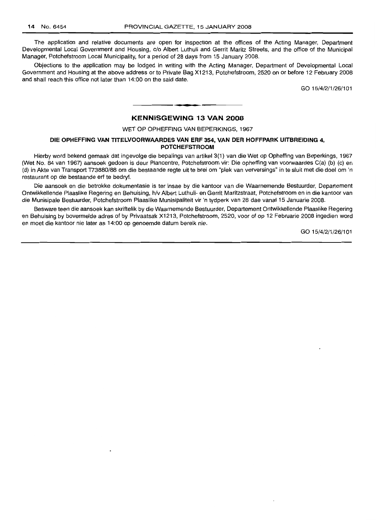The application and relative documents are open for inspection at the offices of the Acting Manager, Department Developmental Local Government and Housing, c/o Albert Luthuli and Gerrit Maritz Streets, and the office of the Municipal Manager, Potchefstroom Local Municipality, for a period of 28 days from 15 January 2008.

Objections to the application may be lodged in writing with the Acting Manager, Department of Developmental Local Government and Housing at the above address or to Private Bag X1213, Potchefstroom, 2520 on or before 12 February 2008 and shall reach this office not later than 14:00 on the said date.

GO 15/4/2/1/26/101

# **KENNISGEWING 13 VAN 2008**

**-.**

WET OP OPHEFFING VAN BEPERKINGS, 1967

## **DIE OPHEFFING VAN TITELVOORWAARDES VAN ERF** 354, **VAN DER HOFFPARK UITBREIDING** 4, **POTCHEFSTROOM**

Hierby word bekend gemaak dat ingevolge die bepalings van artikel 3(1) van die Wet op Opheffing van Beperkings, 1967 (Wet No. 84 van 1967) aansoek gedoen is deur Plancentre, Potchefstroom vir: Die opheffing van voorwaardes C(a) (b) (c) en (d) in Akte van Transport T73880/88 om die bestaande regte uit te brei om "plek van verversings" in te sluit met die doer om 'n restaurant op die bestaande erf te bedryf.

Die aansoek en die betrokke dokumentasie is ter insae by die kantoor van die Waarnemende Bestuurder, Departement Ontwikkellende Plaaslike Regering en Behuising, h/v Albert Luthuli- en Gerrit Maritzstraat, Potchefstroom en in die kantoor van die Munisipale Bestuurder, Potchefstroom Plaaslike Munisipaliteit vir 'n tydperk van 28 dae vanaf 15 Januarie 2008.

Besware teen die aansoek kan skriftelik by die Waarnemende Bestuurder, Departement Ontwikkellende Plaaslike Regering en Behuising by bovermelde adres of by Privaatsak X1213, Potchefstroom, 2520, voor of op 12 Februarie 2008 ingedien word en moet die kantoor nie later as 14:00 op genoemde datum bereik nie.

GO 15/4/2/1/26/101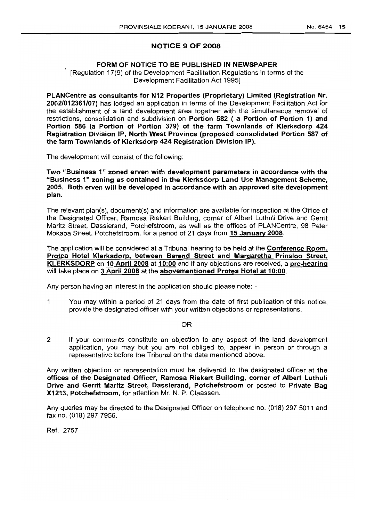# NOTICE 9 OF 2008

# FORM OF NOTICE TO BE PUBLISHED IN NEWSPAPER

[Regulation 17(9) of the Development Facilitation Regulations in terms of the Development Facilitation Act 1995]

PLANCentre as consultants for N12 Properties (Proprietary) Limited (Registration Nr. 2002/012361/07) has lodged an application in terms of the Development Facilitation Act for the establishment of a land development area together with the simultaneous removal of restrictions, consolidation and subdivision on Portion 582 ( a Portion of Portion 1) and Portion 586 (a Portion of Portion 379) of the farm Townlands of Klerksdorp 424 Registration Division IP, North West Province (proposed consolidated Portion 587 of the farm Townlands of Klerksdorp 424 Registration Division IP).

The development will consist of the following:

Two "Business 1" zoned erven with development parameters in accordance with the "Business 1" zoning as contained in the Klerksdorp Land Use Management Scheme, 2005. Both erven will be developed in accordance with an approved site development plan.

The relevant plan(s), document(s) and information are available for inspection at the Office of the Designated Officer, Ramosa Riekert Building, corner of Albert Luthuli Drive and Gerrit Maritz Street, Dassierand, Potchefstroom, as well as the offices of PLANCentre, 98 Peter Mokaba Street, Potchefstroom, for a period of 21 days from 15 January 2008.

The application will be considered at a Tribunal hearing to be held at the **Conference Room**, Protea Hotel Klerksdorp, between Barend Street and Margaretha Prinsloo Street, KLERKSDORP on 10 April 2008 at 10:00 and if any objections are received, a pre-hearing will take place on 3 April 2008 at the abovementioned Protea Hotel at 10:00.

Any person having an interest in the application should please note: -

 $\mathbf{1}$ You may within a period of 21 days from the date of first publication of this notice, provide the designated officer with your written objections or representations.

OR

2 If your comments constitute an objection to any aspect of the land development application, you may but you are not obliged to, appear in person or through a representative before the Tribunal on the date mentioned above.

Any written objection or representation must be delivered to the designated officer at the offices of the Designated Officer, Ramosa Riekert Building, corner of Albert Luthuli Drive and Gerrit Maritz Street, Dassierand, Potchefstroom or posted to Private Bag X1213, Potchefstroom, for attention Mr. N. P. Claassen.

Any queries may be directed to the Designated Officer on telephone no. (018) 297 5011 and fax no. (018) 297 7956.

Ref. 2757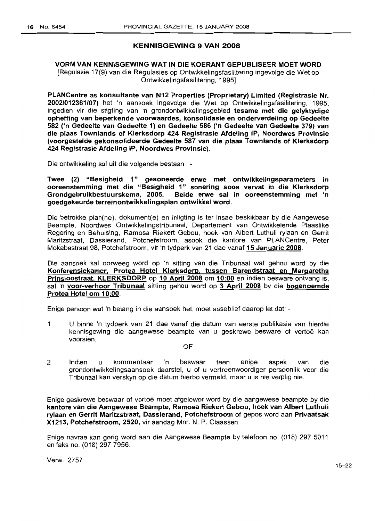# KENNISGEWING 9 VAN 2008

# VORM VAN KENNISGEWING WAT IN DIE KOERANT GEPUBLISEER MOET WORD [Regulasie 17(9) van die Regulasies op Ontwikkelingsfasilitering ingevolge die Wet op Ontwikkelingsfasilitering, 1995]

PLANCentre as konsultante van N12 Properties (Proprietary) Limited (Registrasie Nr. 2002/012361/07) het 'n aansoek ingevolge die Wet op Ontwikkelingsfasilitering, 1995, ingedien vir die stigting van 'n grondontwikkelingsgebied tesame met die gelyktydige opheffing van beperkende voorwaardes, konsolidasie en onderverdeling op Gedeelte 582 ('n Gedeelte van Gedeelte 1) en Gedeelte 586 ('n Gedeelte van Gedeelte 379) van die plaas Townlands of Klerksdorp 424 Registrasie Afdeling IP, Noordwes Provinsie (voorgestelde gekonsolideerde Gedeelte 587 van die plaas Townlands of Klerksdorp 424 Registrasie Afdeling IP, Noordwes Provinsie).

Die ontwikkeling sal uit die volgende bestaan : -

Twee (2) "Besigheid 1" gesoneerde erwe met ontwikkelingsparameters in ooreenstemming met die "Besigheid 1" sonering soos vervat in die Klerksdorp Grondgebruikbestuurskema, 2005. Beide erwe sal in ooreenstemming met 'n goedgekeurde terreinontwikkelingsplan ontwikkel word.

Die betrokke plan(ne), dokument(e) en inligting is ter insae beskikbaar by die Aangewese Beampte, Noordwes Ontwikkelingstribunaal, Departement van Ontwikkelende Plaaslike Regering en Behuising, Ramosa Riekert Gebou, hoek van Albert Luthuli rylaan en Gerrit Maritzstraat, Dassierand, Potchefstroom, asook die kantore van PLANCentre, Peter Mokabastraat 98, Potchefstroom, vir 'n tydperk van 21 dae vanaf 15 Januarie 2008.

Die aansoek sal oorweeg word op 'n sitting van die Tribunaal wat gehou word by die Konferensiekamer, Protea Hotel Klerksdorp, tussen Barendstraat en Margaretha Prinsloostraat. KLERKSDORP op 10 April 2008 om 10:00 en indien besware ontvang is, sal 'n voor-verhoor Tribunaal sitting gehou word op 3 April 2008 by die bogenoemde Protea Hotel om 10:00.

Enige persoon wat 'n belang in die aansoek het, moet asseblief daarop let dat: -

- 1 U binne 'n tydperk van 21 dae vanaf die datum van eerste publikasie van hierdie kennisgewing die aangewese beampte van u geskrewe besware of vertoë kan voorsien.
	- OF
- 2 Indien u kommentaar 'n beswaar teen enige aspek van die grondontwikkelingsaansoek daarstel, u of u vertreenwoordiger persoonlik voor die Tribunaal kan verskyn op die datum hierbo vermeld, maar u is nie verplig nie.

Enige geskrewe beswaar of vertoe moet afgelewer word by die aangewese beam pte by die kantore van die Aangewese Beampte, Ramosa Riekert Gebou, hoek van Albert Luthuli rylaan en Gerrit Maritzstraat, Dassierand, Potchefstroom of gepos word aan Privaatsak X1213, Potchefstroom, 2520, vir aandag Mnr. N. P. Claassen.

Enige navrae kan gerig word aan die Aangewese Beampte by telefoon no. (018) 297 5011 en faks no. (018) 297 7956.

Verw. 2757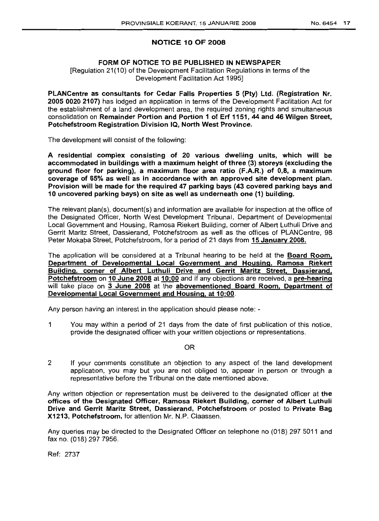# NOTICE 10 OF 2008

# FORM OF NOTICE TO BE PUBLISHED IN NEWSPAPER

[Regulation 21(10) of the Development Facilitation Regulations in terms of the Development Facilitation Act 1995]

PLANCentre as consultants for Cedar Falls Properties 5 (Pty) Ltd. (Registration Nr. 2005 0020 2107) has lodged an application in terms of the Development Facilitation Act for the establishment of a land development area, the required zoning rights and simultaneous consolidation on Remainder Portion and Portion 1 of Erf 1151, 44 and 46 Wilgen Street, Potchefstroom Registration Division IQ, North West Province.

The development will consist of the following:

A residential complex consisting of 20 various dwelling units, which will be accommodated in buildings with a maximum height of three (3) storeys (excluding the ground floor for parking), a maximum floor area ratio (F.A.R.) of 0,8, a maximum coverage of 65% as well as in accordance with an approved site development plan. Provision will be made for the required 47 parking bays (43 covered parking bays and 10 uncovered parking bays) on site as well as underneath one (1) building.

The relevant plan(s), document(s) and information are available for inspection at the office of the Designated Officer, North West Development Tribunal, Department of Developmental Local Government and Housing, Ramosa Riekert Building, corner of Albert Luthuli Drive and Gerrit Maritz Street, Dassierand, Potchefstroom as well as the offices of PLANCentre, 98 Peter Mokaba Street, Potchefstroom, for a period of 21 days from 15 January 2008.

The application will be considered at a Tribunal hearing to be held at the **Board Room.** Department of Developmental Local Government and Housing. Ramosa Riekert BUilding, corner of Albert Luthuli Drive and Gerrit Maritz Street. Dassierand. Potchefstroom on 10 June 2008 at 10:00 and if any objections are received, a pre-hearing will take place on 3 June 2008 at the abovementioned Board Room. Department of Developmental Local Government and Housing, at 10:00.

Any person having an interest in the application should please note: -

1 You may within a period of 21 days from the date of first publication of this notice, provide the designated officer with your written objections or representations.

## OR

2 If your comments constitute an objection to any aspect of the land development application, you may but you are not obliged to, appear in person or through a representative before the Tribunal on the date mentioned above.

Any written objection or representation must be delivered to the designated officer at the offices of the Designated Officer, Ramosa Riekert Building, corner of Albert Luthuli Drive and Gerrit Maritz Street, Dassierand, Potchefstroom or posted to Private Bag X1213, Potchefstroom, for attention Mr. N.P. Claassen.

Any queries may be directed to the Designated Officer on telephone no (018) 297 5011 and fax no. (018) 297 7956.

Ref: 2737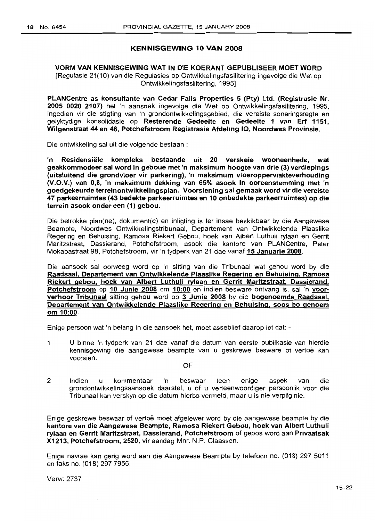# KENNISGEWING 10 VAN 2008

# VORM VAN KENNISGEWING WAT IN DIE KOERANT GEPUBLISEER MOET WORD [Regulasie 21(10) van die Regulasies op Ontwikkelingsfasilitering ingevolge die Wet op Ontwikkelingsfasilitering, 1995]

PLANCentre as konsultante van Cedar Falls Properties 5 (Pty) Ltd. (Registrasie Nr. 2005 0020 2107) het 'n aansoek ingevolge die Wet op Ontwikkelingsfasilitering, 1995, ingedien vir die stigting van 'n grondontwikkelingsgebied, die vereiste soneringsregte en gelyktydige konsolidasie op Resterende Gedeelte en Gedeelte 1 van Erf 1151, Wilgenstraat 44 en 46, Potchefstroom Registrasie Afdeling IQ, Noordwes Provinsie.

Die ontwikkeling sal uit die volgende bestaan :

'n Residensiele kompleks bestaande uit 20 verskeie wooneenhede, wat geakkommodeer sal word in geboue met 'n maksimum hoogte van drie (3) verdiepings (uitsluitend die grondvloer vir parkering), 'n maksimum vloeroppervlakteverhouding (V.O.V.) van 0,8, 'n maksimum dekking van 65% asook in ooreenstemming met 'n goedgekeurde terreinontwikkelingsplan. Voorsiening sal gemaak word vir die vereiste 47 parkeerruimtes (43 bedekte parkeerruimtes en 10 onbedekte parkeerruimtes) op die terrein asook onder een (1) gebou.

Die betrokke plan(ne), dokument(e) en inligting is ter insae beskikbaar by die Aangewese Beampte, Noordwes Ontwikkelingstribunaal, Departement van Ontwikkelende Plaaslike Regering en Behuising, Ramosa Riekert Gebou, hoek van Albert Luthuli rylaan en Gerrit Maritzstraat, Dassierand, Potchefstroom, asook die kantore van PLANCentre, Peter Mokabastraat 98, Potchefstroom, vir 'n tydperk van 21 dae vanaf 15 Januarie 2008.

Die aansoek sal oorweeg word op 'n sitting van die Tribunaal wat gehou word by die Raadsaal, Departement van Ontwikkelende Plaaslike Regering en Behuising, Ramosa Riekert gebou, hoek van Albert Luthuli rylaan en Gerrit Maritzstraat, Dassierand, Potchefstroom op 10 Junie 2008 om 10:00 en indien besware ontvang is, sal 'n voorverhoor Tribunaal sitting gehou word op 3 Junie 2008 by die bogenoemde Raadsaal, Departement van Ontwikkelende Plaaslike Regering en Behuising, soos bo genoem om 10:00.

Enige persoon wat 'n belang in die aansoek het, moet asseblief daarop let dat: -

1 U binne 'n tydperk van 21 dae vanaf die datum van eerste publikasie van hierdie kennisgewing die aangewese beampte van u geskrewe besware of vertoë kan voorsien.

OF

2 Indien u kommentaar 'n beswaar teen enige aspek van die grondontwikkelingsaansoek daarstel, u of u verteenwoordiger persoonlik voor die Tribunaal kan verskyn op die datum hierbo vermeld, maar u is nie verplig nie.

Enige geskrewe beswaar of vertoe moet afgelewer word by die aangewese beampte by die kantore van die Aangewese Beampte, Ramosa Riekert Gebou, hoek van Albert Luthuli rylaan en Gerrit Maritzstraat, Dassierand, Potchefstroom of gepos word aan Privaatsak X1213, Potchefstroom, 2520, vir aandag Mnr. N.P. Claassen.

Enige navrae kan gerig word aan die Aangewese Beampte by telefoon no. (018) 297 5011 en faks no. (018) 297 7956.

Verw: 2737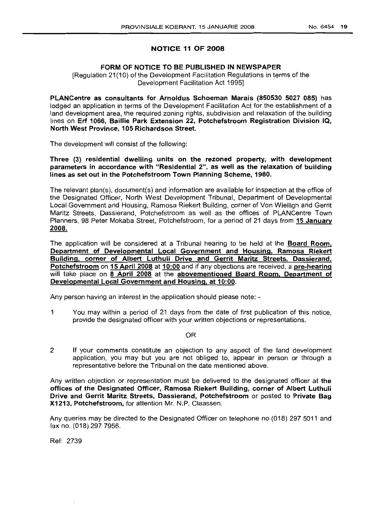# NOTICE 11 OF 2008

# FORM OF NOTICE TO BE PUBLISHED IN NEWSPAPER

[Regulation 21(10) of the Development Facilitation Regulations in terms of the Development Facilitation Act 1995]

PLANCentre as consultants for Arnoldus Schoeman Marais (850530 5027 085) has lodged an application in terms of the Development Facilitation Act for the establishment of a land development area, the required zoning rights, subdivision and relaxation of the building lines on Erf 1066, Baillie Park Extension 22, Potchefstroom Registration Division IQ, North West Province, 105 Richardson Street.

The development will consist of the following:

Three (3) residential dwelling units on the rezoned property, with development parameters in accordance with "Residential 2", as well as the relaxation of building lines as set out in the Potchefstroom Town Planning Scheme, 1980.

The relevant plan(s), document(s) and information are available for inspection at the office of the Designated Officer, North West Development Tribunal, Department of Developmental Local Government and Housing, Ramosa Riekert Building, corner of Von Wielligh and Gerrit Maritz Streets, Dassierand, Potchefstroom as well as the offices of PLANCentre Town Planners, 98 Peter Mokaba Street, Potchefstroom, for a period of 21 days from 15 January 2008.

The application will be considered at a Tribunal hearing to be held at the **Board Room**, Department of Developmental Local Government and Housing, Ramosa Riekert Building, corner of Albert Luthuli Drive and Gerrit Maritz Streets, Dassierand, Potchefstroom on 15 April 2008 at 10:00 and if any objections are received, a pre-hearing will take place on 8 April 2008 at the abovementioned Board Room, Department of Developmental Local Government and Housing, at 10:00.

Any person having an interest in the application should please note: -

1 You may within a period of 21 days from the date of first publication of this notice, provide the designated officer with your written objections or representations.

## OR

2 If your comments constitute an objection to any aspect of the land development application, you may but you are not obliged to, appear in person or through a representative before the Tribunal on the date mentioned above.

Any written objection or representation must be delivered to the designated officer at the offices of the Designated Officer, Ramosa Riekert BUilding, corner of Albert Luthuli Drive and Gerrit Maritz Streets, Dassierand, Potchefstroom or posted to Private Bag X1213, Potchefstroom, for attention Mr. N.P. Claassen.

Any queries may be directed to the Designated Officer on telephone no (018) 297 5011 and fax no. (018) 297 7956.

Ref: 2739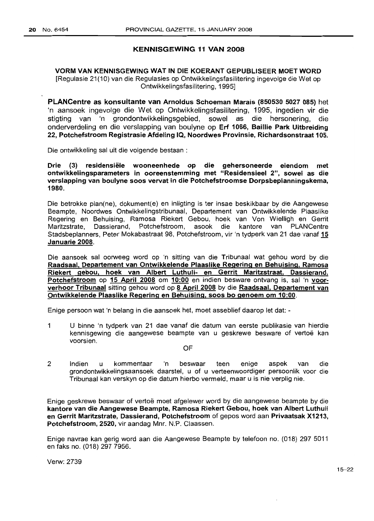## KENNISGEWING 11 VAN 2008

# VORM VAN KENNISGEWING WAT IN DIE KOERANT GEPUBLISEER MOETWORD [Regulasie 21(10) van die Regulasies op Ontwikkelingsfasilitering ingevolge die Wet op Ontwikkelingsfasilitering, 1995]

PLANCentre as konsultante van Arnoldus Schoeman Marais (850530 5027 085) het 'n aansoek ingevolge die Wet op Ontwikkelingsfasilitering, 1995, ingedien vir die stigting van 'n grondontwikkelingsgebied, sowel as die hersonering, die onderverdeling en die verslapping van boulyne op Erf 1066, Baillie Park Uitbreiding 22, Potchefstroom Registrasie Afdeling IQ, Noordwes Provinsie, Richardsonstraat 105.

Die ontwikkeling sal uit die volgende bestaan :

Drie (3) residensiele wooneenhede op die gehersoneerde eiendom met ontwikkelingsparameters in ooreenstemming met "Residensieel 2", sowel as die verslapping van boulyne 5005 vervat in die Potchefstroomse Dorpsbeplanningskema, 1980.

Die betrokke plan(ne), dokument(e) en inligting is ter insae beskikbaar by die Aangewese Beampte, Noordwes Ontwikkelingstribunaal, Departement van Ontwikkelende Plaaslike Regering en Behuising, Ramosa Riekert Gebou, hoek van Von Wielligh en Gerrit Maritzstrate, Dassierand, Potchefstroom, asook die kantore van PLANCentre Stadsbeplanners, Peter Mokabastraat 98, Potchefstroom, vir 'n tydperk van 21 dae vanaf 15 Januarie 2008.

Die aansoek sal oorweeg word op 'n sitting van die Tribunaal wat gehou word by die Raadsaal, Departement van Ontwikkelende Plaaslike Regering en Behuising, Ramosa Riekert gebou, hoek van Albert Luthuli- en Gerrit Maritzstraat, Dassierand, Potchefstroom op 15 April 2008 om 10:00 en indien besware ontvang is, sal 'n voorverhoor Tribunaal sitting gehou word op 8 April 2008 by die Raadsaal, Departement van Ontwikkelende Plaaslike Regering en Behuising, 5005 bo genoem om 10:00.

Enige persoon wat 'n belang in die aansoek het, moet asseblief daarop let dat: -

- 1 U binne 'n tydperk van 21 dae vanaf die datum van eerste publikasie van hierdie kennisgewing die aangewese beampte van u geskrewe besware of vertoë kan voorsien.
	- OF
- 2 Indien u kommentaar 'n beswaar teen enige aspek van die grondontwikkelingsaansoek daarstel, u of u verteenwoordiger persoonlik voor die Tribunaal kan verskyn op die datum hierbo vermeld, maar u is nie verplig nie.

Enige geskrewe beswaar of vertoe moet afgelewer word by die aangewese beampte by die kantore van die Aangewese Beampte, Ramosa Riekert Gebou, hoek van Albert Luthuli en Gerrit Maritzstrate, Dassierand, Potchefstroom of gepos word aan Privaatsak X1213, Potchefstroom, 2520, vir aandag Mnr. N.P. Claassen.

Enige navrae kan gerig word aan die Aangewese Beampte by telefoon no. (018) 297 5011 en faks no. (018) 297 7956.

Verw:2739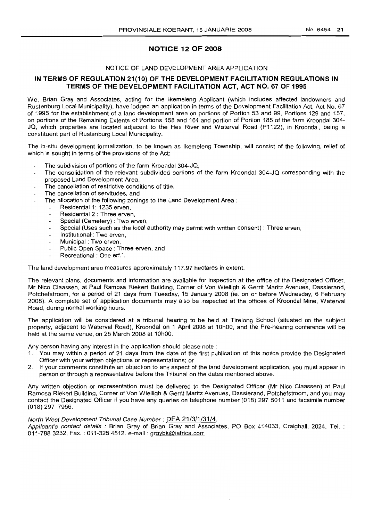# **NOTICE 12 OF 2008**

# NOTICE OF LAND DEVELOPMENT AREA APPLICATION

# **IN TERMS OF REGULATION 21(10) OF THE DEVELOPMENT FACILITATION REGULATIONS IN TERMS OF THE DEVELOPMENT FACILITATION ACT, ACT NO. 67 OF 1995**

We, Brian Gray and Associates, acting for the Ikemeleng Applicant (which includes affected landowners and Rustenburg Local Municipality), have lodged an application in terms of the Development Facilitation Act, Act No. 67 of 1995 for the establishment of a land development area on portions of Portion 53 and 99, Portions 129 and 157, on portions of the Remaining Extents of Portions 158 and 164 and portion of Portion 185 of the farm Kroondal 304- JQ, which properties are located adjacent to the Hex River and Waterval Road (P1122), in Kroondal, being a constituent part of Rustenburg Local Municipality.

The in-situ development formalization, to be known as Ikemeleng Township, will consist of the following, relief of which is sought in terms of the provisions of the Act:

- The subdivision of portions of the farm Kroondal 304-JQ,
- The consolidation of the relevant subdivided portions of the farm Kroondal 304-JQ corresponding with the proposed Land Development Area,
- The cancellation of restrictive conditions of title,
- The cancellation of servitudes, and
- The allocation of the following zonings to the Land Development Area :
	- Residential 1: 1235 erven,
	- Residential 2 : Three erven,
	- Special (Cemetery) : Two erven,
	- Special (Uses such as the local authority may permit with written consent) : Three erven,
	- Institutional': Two erven,
	- Municipal: Two erven,
	- Public Open Space: Three erven, and
	- Recreational: One erf.".

The land development area measures approximately 117.97 hectares in extent.

The relevant plans, documents and information are available for inspection at the office of the Designated Officer, Mr Nico Claassen, at Paul Ramosa Riekert Building, Corner of Von Wielligh & Gerrit Maritz Avenues, Dassierand, Potchefstroom, for a period of 21 days from Tuesday, 15 January 2008 (ie. on or before Wednesday, 6 February 2008). A complete set of application documents may also be inspected at the offices of Kroondal Mine, Waterval Road, during normal working hours.

The application will be considered at a tribunal hearing to be held at Tirelong School (situated on the subject property, adjacent to Waterval Road), Kroondal on 1 April 2008 at 10hOO, and the Pre-hearing conference will be held at the same venue, on 25 March 2008 at 10hOO.

Any person having any interest in the application should please note:

- 1. You may within a period of 21 days from the date of the first publication of this notice provide the Designated Officer with your written objections or representations; or
- 2. If your comments constitute an objection to any aspect of the land development application, you must appear in person or through a representative before the Tribunal on the dates mentioned above.

Any written objection or representation must be delivered to the Designated Officer (Mr Nico Claassen) at Paul Ramosa Riekert Building, Corner of Von Wielligh & Gerrit Maritz Avenues, Dassierand, Potchefstroom, and you may contact the Designated Officer if you have any queries on telephone number (018) 297 5011 and facsimile number (018) 297 7956.

## North West Development Tribunal Case Number: DFA 21/3/1/31/4.

Applicant's contact details: Brian Gray of Brian Gray and Associates, PO Box 414033, Craighall, 2024, Tel.: 011-788 3232, Fax. : 011-325 4512. e-mail : graybk@iafrica.com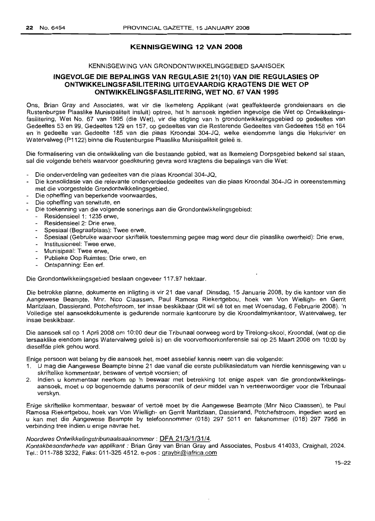# **KENNISGEWING 12 VAN 2008**

## KENNISGEWING VAN GRONDONTWIKKELINGGEBIED SAANSOEK

# **INGEVOLGE DIE** BEPALINGS **VAN REGULASIE 21(10) VAN DIE REGULASIEs OP ONTWIKKELlNGsFAslLiTERING UITGEVAARDIG KRAGTENS DIE WET OP ONTWIKKELlNGsFAsILiTERING, WET NO. 67 VAN 1995**

Ons, Brian Gray and Associates, wat vir die Ikemeleng Applikant (wat geaffekteerde grondeienaars en die Rustenburgse Plaaslike Munisipaliteit insluit) optree, het 'n aansoek ingedien ingevolge die Wet op Ontwikkelingsfasilitering, Wet No. 67 van 1995 (die Wet), vir die stigting van 'n grondontwikkelingsgebied op gedeeltes van Gedeeltes 53 en 99, Gedeeltes 129 en 157, op gedeeltes van die Resterende Gedeeltes van Gedeeltes 158 en 164 en 'n gedeelte van Gedeelte 185 van die plaas Kroondal 304-JQ, welke eiendomme langs die Heksrivier en Watervalweg (P1122) binne die Rustenburgse Plaaslike Munisipaliteit geleë is.

Die formalisering van die ontwikkeling van die bestaande gebied, wat as Ikemeleng Dorpsgebied bekend sal staan, sal die volgende behels waarvoor goedkeuring gevra word kragtens die bepalings van die Wet:

- Die onderverdeling van gedeeltes van die plaas Kroondal 304-JQ,
- Die konsolidasie van die relevante onderverdeelde gedeeltes van die plaas Kroondal 304-JQ in ooreenstemming met die voorgestelde Grondontwikkelingsgebied,
- Die opheffing van beperkende voorwaardes,
- Die opheffing van serwitute, en
- Die toekenning van die volgende sonerings aan die Grondontwikkelingsgebied:
	- Residensieel 1: 1235 erwe,
	- Residensieel 2: Drie erwe.
	- Spesiaal (Begraafplaas): Twee erwe,
	- Spesiaal (Gebruike waarvoor skriftelik toestemming gegee mag word deur die plaaslike owerheid): Drie erwe,
	- Institusioneel: Twee erwe,
	- Munisipaal: Twee erwe,
	- Publieke Oop Ruimtes: Drie erwe, en
	- Ontspanning: Een erf.

Die Grondontwikkelingsgebied beslaan ongeveer 117.97 hektaar.

Die betrokke planne, dokumente en inligting is vir 21 dae vanaf Dinsdag, 15 Januarie 2008, by die kantoor van die Aangewese Beampte, Mnr. Nico Claassen, Paul Ramosa Riekertgebou, hoek van Von Wielligh- en Gerrit Maritzlaan, Dassierand, Potchefstroom, ter insae beskikbaar (Dit wil se tot en met Woensdag, 6 Februarie 2008). 'n Volledige stel aansoekdokumente is gedurende normale kantoorure by die Kroondalmynkantoor, Watervalweg, ter insae beskikbaar.

Die aansoek salop 1 April 2008 om 10:00 deur die Tribunaal oorweeg word by Tirelong-skool, Kroondal, (wat op die tersaaklike eiendom langs Watervalweg gelee is) en die voorverhoorkonferensie salop 25 Maart 2008 om 10:00 by dieselfde plek gehou word.

Enige persoon wat belang by die aansoek het, moet asseblief kennis neem van die volgende:

- 1. U mag die Aangewese Beampte binne 21 dae vanaf die eerstepublikasiedatum van hierdie kennisgewing van u skriftelike kommentaar, besware of vertoë voorsien; of
- 2. Indien u kommentaar neerkom op 'n beswaar met betrekking tot enige aspek van die grondontwikkelingsaansoek, moet u op bogenoemde datums persoonlik of deur middel van 'n verteenwoordiger voor die Tribunaal verskyn.

Enige skriftelike kommentaar, beswaar of vertoe moet by die Aangewese Beampte (Mnr Nico Claassen), te Paul Ramosa Riekertgebou, hoek van Von Wielligh- en Gerrit Maritzlaan, Dassierand, Potchefstroom, ingedien word en u kan met die Aangewese Beampte by telefoonnommer (018) 297 5011 en faksnommer (018) 297 7956 in verbinding tree indien u enige navrae het.

# Noordwes Ontwikkelingstribunaalsaaknommer: DFA 21/3/1/31/4.

Kontakbesonderhede van applikant : Brian Gray van Brian Gray and Associates, Posbus 414033, Craighall, 2024. Tel.: 011-7883232, Faks: 011-3254512. e-pos : graybk@iafrica.com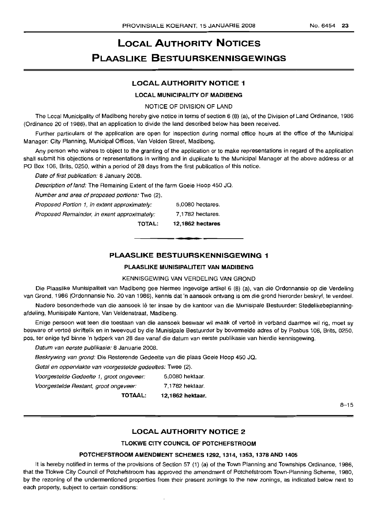# **LOCAL AUTHORITY NOTICES PLAASLIKE BESTUURSKENNISGEWINGS**

# **LOCAL AUTHORITY NOTICE 1**

## **LOCAL MUNICIPALITY OF MADIBENG**

NOTICE OF DIVISION OF LAND

The Local Municipality of Madibeng hereby give notice in terms of section 6 (8) (a), of the Division of Land Ordinance, 1986 (Ordinance 20 of 1986), that an application to divide the land described below has been received.

Further particulars of the application are open for inspection during normal office hours at the office of the Municipal Manager: City Planning, Municipal Offices, Van Velden Street, Madibeng.

Any person who wishes to object to the granting of the application or to make representations in regard of the application shall submit his objections or representations in writing and in duplicate to the Municipal Manager at the above address or at PO Box 106, Brits, 0250, within a period of 28 days from the first publication of this notice.

Date of first publication: 8 January 2008.

Description of land: The Remaining Extent of the farm Goeie Hoop 450 JQ.

Number and area of proposed portions: Two (2).

|                                              | <b>TOTAL:</b> | 12.1862 hectares |
|----------------------------------------------|---------------|------------------|
| Proposed Remainder, in exent approximately:  |               | 7,1782 hectares. |
| Proposed Portion 1, in extent approximately: |               | 5,0080 hectares. |

# **PLAASLIKE BESTUURSKENNISGEWING 1**

**•**

## **PLAASLIKE MUNISIPALITEIT VAN MADIBENG**

## KENNISGEWING VAN VERDELING VAN GROND

Die Plaaslike Munisipaliteit van Madibeng gee hiermee ingevolge artikel 6 (8) (a), van die Ordonnansie op die Verdeling van Grond, 1986 (Ordonnansie No. 20 van 1986), kennis dat 'n aansoek ontvang is om die grond hieronder beskryf, te verdeel.

Nadere besonderhede van die aansoek lê ter insae by die kantoor van die Munisipale Bestuurder: Stedelikebeplanningafdeling, Munisipale Kantore, Van Veldenstraat, Madibeng.

Enige persoon wat teen die toestaan van die aansoek beswaar wil maak of vertoë in verband daarmee wil rig, moet sy besware of vertoë skriftelik en in tweevoud by die Munisipale Bestuurder by bovermelde adres of by Posbus 106, Brits, 0250. pos, ter enige tyd binne 'n tydperk van 28 dae vanaf die datum van eerste publikasie van hierdie kennisgewing.

Datum van eerste publikasie: 8 Januarie 2008.

Beskrywing van grond: Die Resterende Gedeelte van die plaas Goeie Hoop 450 JQ.

Getal en oppervlakte van voorgestelde gedeeltes: Twee (2).

Voorgestelde Gedeelte 1, groot ongeveer: 5,0080 hektaar.

Voorgestelde Restant, groot ongeveer: 7,1782 hektaar.

**TOTAAL: 12,1862 hektaar.**

8-15

# **LOCAL AUTHORITY NOTICE 2**

## **TLOKWE CITY COUNCIL OF POTCHEFSTROOM**

## **POTCHEFSTROOM AMENDMENT SCHEMES 1292, 1314, 1353, 1378 AND 1405**

It is hereby notified in terms of the provisions of Section 57 (1) (a) of the Town Planning and Townships Ordinance, 1986, that the Tlokwe City Council of Potchefstroom has approved the amendment of Potchefstroom Town-Planning Scheme, 1980, by the rezoning of the undermentioned properties from their present zonings to the new zonings, as indicated below next to each property, subject to certain conditions: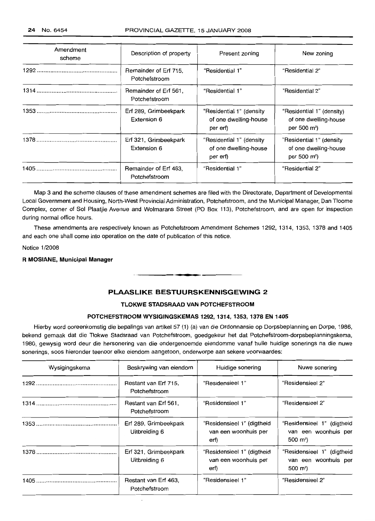| Amendment<br>scheme | Description of property                | Present zoning                                                | New zoning                                                                    |
|---------------------|----------------------------------------|---------------------------------------------------------------|-------------------------------------------------------------------------------|
|                     | Remainder of Erf 715.<br>Potchefstroom | "Residential 1"                                               | "Residential 2"                                                               |
|                     | Remainder of Erf 561,<br>Potchefstroom | "Residential 1"                                               | "Residential 2"                                                               |
|                     | Erf 289, Grimbeekpark<br>Extension 6   | "Residential 1" (density<br>of one dwelling-house<br>per erf) | "Residential 1" (density)<br>of one dwelling-house<br>per 500 $m^2$ )         |
|                     | Erf 321, Grimbeekpark<br>Extension 6   | "Residential 1" (density<br>of one dwelling-house<br>per erf) | "Residential 1" (density<br>of one dwelling-house<br>per 500 m <sup>2</sup> ) |
|                     | Remainder of Erf 463,<br>Potchefstroom | "Residential 1"                                               | "Residential 2"                                                               |

Map 3 and the scheme clauses of these amendment schemes are filed with the Directorate, Department of Developmental Local Government and Housing, North-West Provincial Administration, Potchefstroom, and the Municipal Manager, Dan Tloome Complex, corner of Sol Plaatjie Avenue and Wolmarans Street (PO Box 113), Potchefstroom, and are open for inspection during normal office hours.

These amendments are respectively known as Potchefstroom Amendment Schemes 1292, 1314, 1353, 1378 and 1405 and each one shall come into operation on the date of publication of this notice.

Notice 1/2008

## **R MOSIANE, Municipal Manager**

# **PLAASLIKE BESTUURSKENNISGEWING 2**

**-**

## **TLOKWE STADSRAAD VAN POTCHEFSTROOM**

## **POTCHEFSTROOM WYSIGINGSKEMAS 1292, 1314, 1353,1378 EN 1405**

Hierby word ooreenkomstig die bepalings van artikel 57 (1) (a) van die Ordonnansie op Dorpsbeplanning en Dorpe, 1986, bekend gemaak dat die Tlokwe Stadsraad van Potchefstroom, goedgekeur het dat Potchefstroom-dorpsbeplanningskema, 1980, gewysig word deur die hersonering van die ondergenoemde eiendomme vanaf hulle huidige sonerings na die nuwe sonerings, soos hieronder teenoor elke eiendom aangetoon, onderworpe aan sekere voorwaardes:

| Wysigingskema | Beskrywing van eiendom                 | Huidige sonering                                           | Nuwe sonering                                                              |
|---------------|----------------------------------------|------------------------------------------------------------|----------------------------------------------------------------------------|
|               | Restant van Erf 715,<br>Potchefstroom  | "Residensieel 1"                                           | "Residensieel 2"                                                           |
|               | Restant van Erf 561,<br>Potchefstroom  | "Residensieel 1"                                           | "Residensieel 2"                                                           |
|               | Erf 289, Grimbeekpark<br>Uitbreiding 6 | "Residensieel 1" (digtheid<br>van een woonhuis per<br>erf) | "Residensieel 1" (digtheid<br>van een woonhuis per<br>500 m <sup>2</sup> ) |
|               | Erf 321, Grimbeekpark<br>Uitbreiding 6 | "Residensieel 1" (digtheid<br>van een woonhuis per<br>erf) | "Residensieel 1" (digtheid<br>van een woonhuis per<br>500 m <sup>2</sup> ) |
|               | Restant van Erf 463,<br>Potchefstroom  | "Residensieel 1"                                           | "Residensieel 2"                                                           |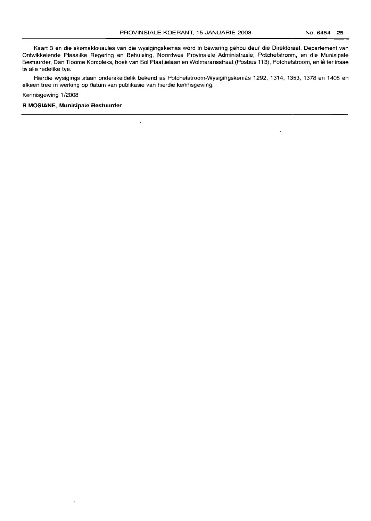Kaart 3 en die skemaklousules van die wysigingskemas word in bewaring gehou deur die Direktoraat, Departement van Ontwikkelende Plaaslike Regering en Behuising, Noordwes Provinsiale Administrasie, Potchefstroom, en die Munisipale Bestuurder, Dan Tloome Kompleks, hoek van Sol Plaatjielaan en Wolmaransstraat (Posbus 113), Potchefstroom, en Ie ter insae te aile redelike tye.

Hierdie wysigings staan onderskeidelik bekend as Potchefstroom-Wysigingskemas 1292, 1314, 1353, 1378 en 1405 en elkeen tree in werking op datum van publikasie van hierdie kennisgewing.

 $\ddot{\phantom{0}}$ 

Kennisgewing 1/2008

**R MOSIANE, Munisipale Bestuurder**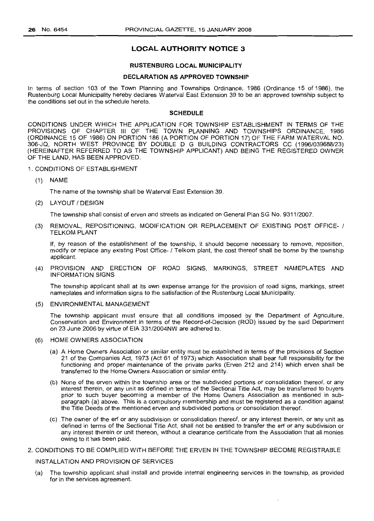# **LOCAL AUTHORITY NOTICE 3**

## **RUSTENBURG LOCAL MUNICIPALITY**

## **DECLARATION AS APPROVED TOWNSHIP**

In terms of section 103 of the Town Planning and Townships Ordinance, 1986 (Ordinance 15 of 1986), the Rustenburg Local Municipality hereby declares Waterval East Extension 39 to be an approved township subject to the conditions set out in the schedule hereto.

## **SCHEDULE**

CONDITIONS UNDER WHICH THE APPLICATION FOR TOWNSHIP ESTABLISHMENT IN TERMS OF THE PROVISIONS OF CHAPTER III OF THE TOWN PLANNING AND TOWNSHIPS ORDINANCE, 1986 (ORDINANCE 15 OF 1986) ON PORTION 186 (A PORTION OF PORTION 17) OF THE FARM WATERVAL NO. 306-JQ, NORTH WEST PROVINCE BY DOUBLE D G BUILDING CONTRACTORS CC (1996/039688/23) (HEREINAFTER REFERRED TO AS THE TOWNSHIP APPLICANT) AND BEING THE REGISTERED OWNER OF THE LAND, HAS BEEN APPROVED.

- 1. CONDITIONS OF ESTABLISHMENT
	- (1) NAME

The name of the township shall be Waterval East Extension 39.

(2) LAYOUT *1*DESIGN

The township shall consist of erven and streets as indicated on General Plan SG No. 9311/2007.

(3) REMOVAL, REPOSITIONING, MODIFICATION OR REPLACEMENT OF EXISTING POST OFFICE- / TELKOM PLANT

If, by reason of the establishment of the township, it should become necessary to remove, reposition, modify or replace any existing Post Office- 1Telkom plant, the cost thereof shall be borne by the township applicant.

(4) PROVISION AND ERECTION OF ROAD SIGNS, MARKINGS, STREET NAMEPLATES AND INFORMATION SIGNS

The township applicant shall at its own expense arrange for the provision of road signs, markings, street nameplates and information signs to the satisfaction of the Rustenburg Local Municipality.

(5) ENVIRONMENTAL MANAGEMENT

The township applicant must ensure that all conditions imposed by the Department of Agriculture, Conservation and Environment in terms of the Record-of-Decision (ROD) issued by the said Department on 23 June 2006 by virtue of EIA 331/2004NW are adhered to.

- (6) HOME OWNERS ASSOCIATION
	- (a) A Home Owners Association or similar entity must be established in terms of the provisions of Section 21 of the Companies Act, 1973 (Act 61 of 1973) which Association shall bear full responsibility for the functioning and proper maintenance of the private parks (Erven 212 and 214) which erven shall be transferred to the Home Owners Association or similar entity.
	- (b) None of the erven within the township area or the subdivided portions or consolidation thereof, or any interest therein, or any unit as defined in terms of the Sectional Title Act, may be transferred to buyers prior to such buyer becoming a member of the Home Owners Association as mentioned in subparagraph (a) above. This is a compulsory membership and must be registered as a condition against the Title Deeds of the mentioned erven and subdivided portions or consolidation thereof.
	- (c) The owner of the erf or any subdivision or consolidation thereof, or any interest therein, or any unit as defined in terms of the Sectional Title Act, shall not be entitled to transfer the erf or any subdivision or any interest therein or unit thereon, without a clearance certificate from the Association that all monies owing to it has been paid.

# 2. CONDITIONS TO BE COMPLIED WITH BEFORE THE ERVEN IN THE TOWNSHIP BECOME REGISTRABLE

## INSTALLATION AND PROVISION OF SERVICES

(a) The township applicant shall install and provide internal engineering services in the township, as provided for in the services agreement.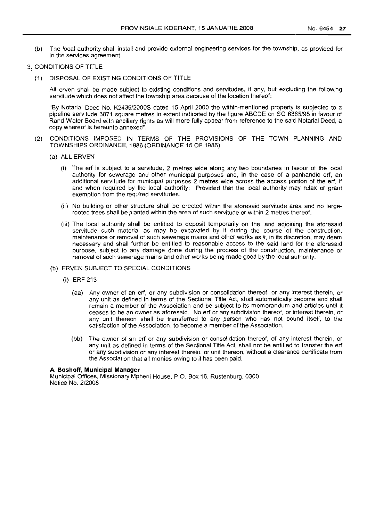(b) The local authority shall install and provide external engineering services for the township, as provided for in the services agreement.

# 3. CONDITIONS OF TITLE

(1) DISPOSAL OF EXISTING CONDITIONS OF TITLE

All erven shall be made subject to existing conditions and servitudes, if any, but excluding the following servitude which does not affect the township area because of the location thereof:

"By Notarial Deed No. K2439/2000S dated 15 April 2000 the within-mentioned property is subjected to a pipeline servitude 3871 square metres in extent indicated by the figure ABCDE on SG 6365/98 in favour of Rand Water Board with ancillary rights as will more fully appear from reference to the said Notarial Deed, a copy whereof is hereunto annexed".

- (2) CONDITIONS IMPOSED IN TERMS OF THE PROVISIONS OF THE TOWN PLANNING AND TOWNSHIPS ORDINANCE, 1986 (ORDINANCE 15 OF 1986)
	- (a) ALL ERVEN
		- (i) The erf is subject to a servitude, 2 metres wide along any two boundaries in favour of the local authority for sewerage and other municipal purposes and, in the case of a panhandle ert, an additional servitude for municipal purposes 2 metres wide across the access portion of the ert, if and when required by the local authority: Provided that the local authority may relax or grant exemption from the required servitudes.
		- (ii) No building or other structure shall be erected within the aforesaid servitude area and no largerooted trees shall be planted within the area of such servitude or within 2 metres thereof.
		- (iii) The local authority shall be entitled to deposit temporarily on the land adjoining the aforesaid servitude such material as may be excavated by it during the course of the construction, maintenance or removal of such sewerage mains and other works as it, in its discretion, may deem necessary and shall further be entitled to reasonable access to the said land for the aforesaid purpose, subject to any damage done during the process of the construction, maintenance or removal of such sewerage mains and other works being made good by the local authority.

## (b) ERVEN SUBJECT TO SPECIAL CONDITIONS

- (i) ERF 213
	- (aa) Any owner of an erf, or any subdivision or consolidation thereof, or any interest therein, or any unit as defined in terms of the Sectional Title Act, shall automatically become and shall remain a member of the Association and be subject to its memorandum and articles until it ceases to be an owner as aforesaid. No erf or any subdivision thereof, or interest therein, or any unit thereon shall be transferred to any person who has not bound itself, to the satisfaction of the Association, to become a member of the Association.
	- (bb) The owner of an erf or any subdivision or consolidation thereof, of any interest therein, or any unit as defined in terms of the Sectional Title Act, shall not be entitled to transfer the erf or any subdivision or any interest therein, or unit thereon, without a clearance certificate from the Association that all monies owing to it has been paid.

## A. **Boshoff, Municipal Manager**

Municipal Offices, Missionary Mpheni House, P.O. Box 16, Rustenburg, 0300 Notice No. 2/2008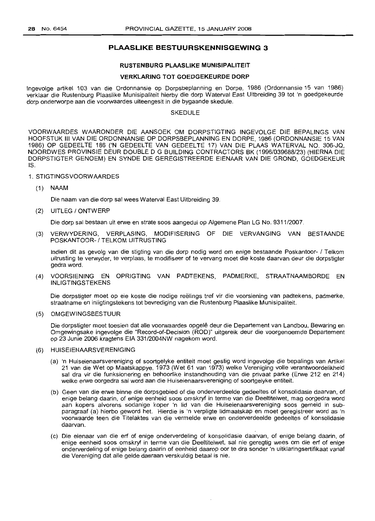# **PLAASLIKE BESTUURSKENNISGEWING 3**

## **RUSTENBURG PLAASLIKE MUNISIPALITEIT**

#### **VERKLARING TOT GOEDGEKEURDE DORP**

Ingevolge artikel 103 van die Ordonnansie op Dorpsbeplanning en Dorpe, 1986 (Ordonnansie 15 van 1986) verklaar die Rustenburg Plaaslike Munisipaliteit hierby die dorp Waterval East Uitbreiding 39 tot 'n goedgekeurde dorp onderworpe aan die voorwaardes uiteengesit in die bygaande skedule.

## SKEDULE

VOORWAARDES WAARONDER DIE AANSOEK OM DORPSTIGTING INGEVOLGE DIE BEPALINGS VAN HOOFSTUK **III** VAN DIE ORDONNANSIE OP DORPSBEPLANNING EN DORPE, 1986 (ORDONNANSIE 15 VAN 1986) OP GEDEELTE 186 ('N GEDEELTE VAN GEDEELTE 17) VAN DIE PLAAS WATERVAL NO. 306-JQ, NDORDWES PROVINSIE DEUR DOUBLE 0 G BUILDING CONTRACTORS BK (1996/039688/23) (HIERNA DIE DORPSTIGTER GENOEM) EN SYNDE DIE GEREGISTREERDE EIENAAR VAN DIE GROND, GOEDGEKEUR IS.

## 1. STIGTINGSVOORWAARDES

(1) NAAM

Die naam van die dorp sal wees Waterval East Uitbreiding 39.

(2) UITLEG 1ONTWERP

Die dorp sal bestaan uit erwe en strate soos aangedui op Aigemene Plan LG No. 9311/2007.

(3) VERWYDERING, VERPLASING, MODIFISERING OF DIE VERVANGING VAN BESTAANDE POSKANTOOR- / TELKOM LITRUSTING

Indien dit as gevolg van die stigting van die dorp nodig word om enige bestaande Poskantoor- 1 Telkom uitrusting te verwyder, te verplaas, te modifiseer of te vervang moet die koste daarvan deur die dorpstigter gedra word.

(4) VOORSIENING EN OPRIGTING VAN PADTEKENS, PADMERKE, STRAATNAAMBORDE EN INLIGTINGSTEKENS

Die dorpstigter moet op eie koste die nodige reëlings tref vir die voorsiening van padtekens, padmerke, straatname en inligtingstekens tot bevrediging van die Rustenburg Plaaslike Munisipaliteit.

(5) OMGEWINGSBESTUUR

Die dorpstigter rnoet toesien dat aile voorwaardes opqele deur die Departement van Landbou, Bewaring en Omgewingsake ingevolge die "Record-of-Decision (ROD)" uitgereik deur die voorgenoemde Departement op 23 Junie 2006 kragtens EIA 331/2004NW nagekom word.

## (6) HUISEIENAARSVERENIGING

- (a) 'n Huiseienaarsvereniging of soortgelyke entiteit moet gestig word ingevolge die bepalings van Artikel 21 van die Wet op Maatskappye, 1973 (Wet 61 van 1973) welke Vereniging volle verantwoordelikheid sal dra vir die funksionering en behoorlike instandhouding van die privaat parke (Erwe 212 en 214) welke erwe oorgedra sal word aan die Huiseienaarsvereniging of soortgelyke entiteit.
- (b) Geen van die erwe binne die dorpsgebied of die onderverdeelde gedeeltes of konsolidasie daarvan, of enige belang daarin, of enige eenheid soos omskryf in terme van die Deeltitelwet, mag oorgedra word aan kopers alvorens sodanige koper 'n lid van die Huiseienaarsvereniging soos gemeld in subparagraaf (a) hierbo geword het. Hierdie is 'n verpligte lidmaatskap en moet geregistreer word as 'n voorwaarde teen die Titelaktes van die vermelde erwe en onderverdeelde gedeeltes of konsolidasie daarvan.
- (c) Die eienaar van die erf of enige onderverdeling of konsolidasie daarvan, of enige belang daarin, of enige eenheid soos omskryf in terme van die Deeltitelwet, sal nie geregtig wees om die erf of enige onderverdeling of enige belang daarin of eenheid daarop oor te dra sonder 'n uitklaringsertifikaat vanaf die Vereniging dat aile gelde daaraan verskuldig betaal is nie.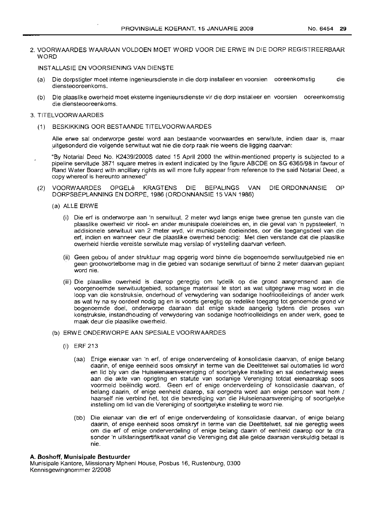## 2. VOORWAARDES WAARAAN VOLDOEN MOET WORD VOOR DIE ERWE IN DIE DORP REGISTREERBAAR **WORD**

INSTALLASIE EN VOORSIENING VAN DIENSTE

- Die dorpstigter moet interne ingenieursdienste in die dorp installeer en voorsien ooreenkomstig die diensteooreenkoms.
- (b) Die plaaslike owerheid moet eksterne ingenieursdienste vir die dorp installeer en voorsien ooreenkomstig die diensteooreenkoms.

## 3. TITELVOORWAARDES

(1) BESKIKKING OOR BESTAANDE TITELVOORWAARDES

Aile erwe sal onderworpe gestel word aan bestaande voorwaardes en serwitute, indien daar is, maar .uitgesonderd die volgende serwituut wat nie die dorp raak nie weens die ligging daarvan:

- "By Notarial Deed No. *K2439/2000S* dated 15 April 2000 the within-mentioned property is subjected to a pipeline servitude 3871 square metres in extent indicated by the figure ABCDE on SG *6365198* in favour of Rand Water Board with ancillary rights as will more fully appear from reference to the said Notarial Deed, a copy whereof is hereunto annexed"
- (2) VOORWAARDES OPGELe KRAGTENS DIE BEPALINGS VAN DIE ORDONNANSIE OP DORPSBEPLANNING EN DORPE, 1986 (ORDONNANSIE 15 VAN 1986)
	- (a) ALLE ERWE
		- (i) Die erf is onderworpe aan 'n serwituut, 2 meter wyd langs enige twee grense ten gunste van die plaaslike owerheid vir riool- en ander munisipale doeleindes en, in die geval van 'n pypsteelerf, 'n addisionele serwituut van 2 meter wyd, vir munisipale doeleindes, oor die toegangsdeel van die erf, indien en wanneer deur die plaaslike owerheid benodig: Met dien verstande dat die plaaslike owerheid hierdie vereiste serwitute mag verslap of vrystelling daarvan verleen.
		- (ii) Geen gebou of ander struktuur mag opgerig word binne die bogenoemde serwituutgebied nie en geen grootwortelbome mag in die gebied van sodanige serwituut of binne 2 meter daarvan geplant word nie.
		- (iii) Die plaaslike owerheid is daarop geregtig om tydelik op die grond aangrensend aan die voorgenoemde serwituutgebied, sodanige materiaal te stort as wat uitgegrawe mag word in die loop van die konstruksie, onderhoud of verwydering van sodanige hoofrioolleidings of ander werk as wat hy na sy oordeel nodig ag en is voorts geregtig op redelike toegang tot genoemde grond vir bogenoemde doel, onderworpe daaraan dat enige skade aangerig tydens die proses van konstruksie, instandhouding of verwydering van sodanige hoofrioolleidings en ander werk, goed te maak deur die plaaslike owerheid.
	- (b) ERWE ONDERWORPE AAN SPESIALE VOORWAARDES
		- (i) ERF 213
			- (aa) Enige eienaar van 'n erf, of enige onderverdeling of konsolidasie daarvan, of enige belang daarin, of enige eenheid soos omskryf in terme van die Deeltitelwet sal outomaties lid word en lid bly van die Huiseienaarsvereniging of soortgelyke instelling en sal onderhewig wees aan die akte van oprigting en statute van sodanige Vereniging totdat eienaarskap soos voormeld beeindig word. Geen erf of enige onderverdeling of konsolidasie daarvan, of belang daarin, of enige eenheid daarop, sal oorgedra word aan enige persoon wat hom 1 haarself nie verbind het, tot die bevrediging van die Huiseienaarsvereniging of soortgelyke instelling om lid van die Vereniging of soortgelyke instelling te word nie.
			- (bb) Die eienaar van die erf of enige onderverdeling of konsolidasie daarvan, of enige belang daarin, of enige eenheid soos omskryf in terme van die Deeltitelwet, sal nie geregtig wees om die erf of enige onderverdeling of enige belang daarin of eenheid daarop oor te dra sonder 'n uitklaringsertifikaat vanaf die Vereniging dat aile gelde daaraan verskuldig betaal is nie.

#### A. Boshoff, **Munisipale Bestuurder**

Munisipale Kantore, Missionary Mpheni House, Posbus 16, Rustenburg, 0300 Kennisgewingnommer *2/2008*